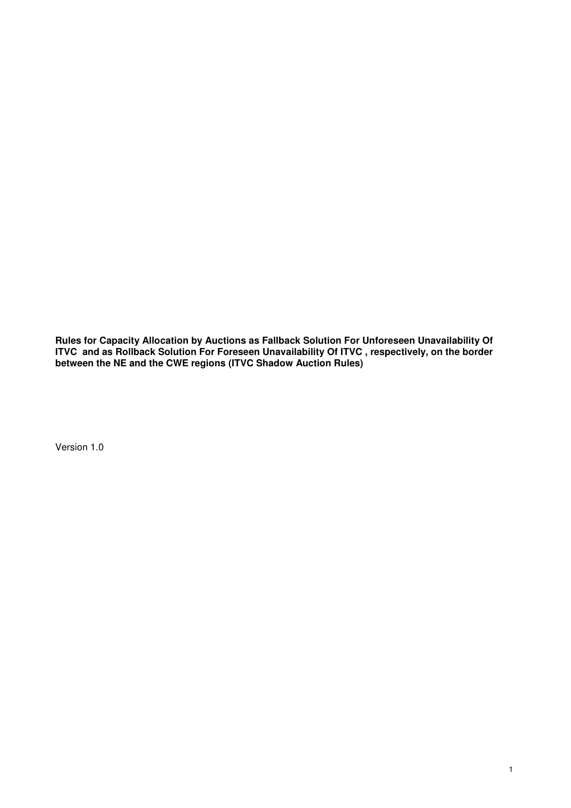**Rules for Capacity Allocation by Auctions as Fallback Solution For Unforeseen Unavailability Of ITVC and as Rollback Solution For Foreseen Unavailability Of ITVC , respectively, on the border between the NE and the CWE regions (ITVC Shadow Auction Rules)** 

Version 1.0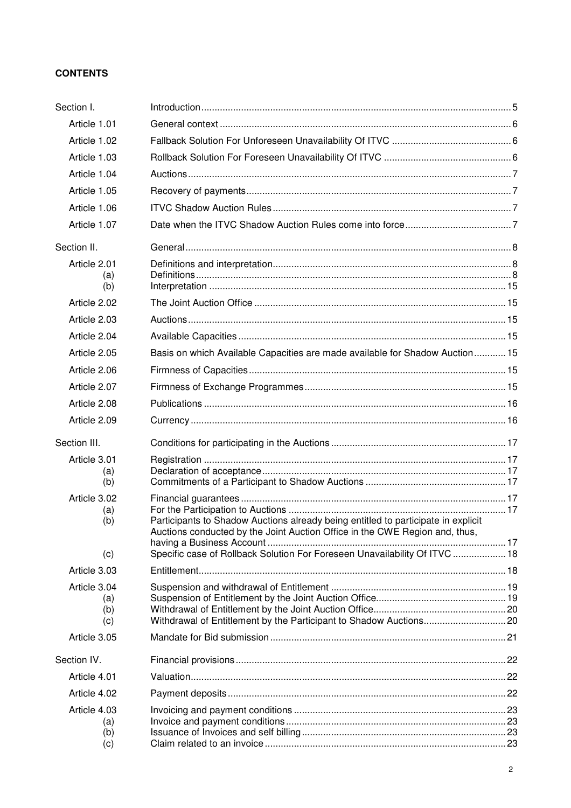# **CONTENTS**

| Section I.                 |                                                                                                                                                                  |  |
|----------------------------|------------------------------------------------------------------------------------------------------------------------------------------------------------------|--|
| Article 1.01               |                                                                                                                                                                  |  |
| Article 1.02               |                                                                                                                                                                  |  |
| Article 1.03               |                                                                                                                                                                  |  |
| Article 1.04               |                                                                                                                                                                  |  |
| Article 1.05               |                                                                                                                                                                  |  |
| Article 1.06               |                                                                                                                                                                  |  |
| Article 1.07               |                                                                                                                                                                  |  |
| Section II.                |                                                                                                                                                                  |  |
| Article 2.01<br>(a)<br>(b) |                                                                                                                                                                  |  |
| Article 2.02               |                                                                                                                                                                  |  |
| Article 2.03               |                                                                                                                                                                  |  |
| Article 2.04               |                                                                                                                                                                  |  |
| Article 2.05               | Basis on which Available Capacities are made available for Shadow Auction 15                                                                                     |  |
| Article 2.06               |                                                                                                                                                                  |  |
| Article 2.07               |                                                                                                                                                                  |  |
| Article 2.08               |                                                                                                                                                                  |  |
| Article 2.09               |                                                                                                                                                                  |  |
| Section III.               |                                                                                                                                                                  |  |
| Article 3.01               |                                                                                                                                                                  |  |
| (a)<br>(b)                 |                                                                                                                                                                  |  |
| Article 3.02               |                                                                                                                                                                  |  |
| (a)<br>(b)                 | Participants to Shadow Auctions already being entitled to participate in explicit<br>Auctions conducted by the Joint Auction Office in the CWE Region and, thus, |  |
| (c)                        | Specific case of Rollback Solution For Foreseen Unavailability Of ITVC  18                                                                                       |  |
| Article 3.03               |                                                                                                                                                                  |  |
| Article 3.04               |                                                                                                                                                                  |  |
| (a)                        |                                                                                                                                                                  |  |
| (b)<br>(c)                 |                                                                                                                                                                  |  |
| Article 3.05               |                                                                                                                                                                  |  |
| Section IV.                |                                                                                                                                                                  |  |
| Article 4.01               |                                                                                                                                                                  |  |
| Article 4.02               |                                                                                                                                                                  |  |
| Article 4.03               |                                                                                                                                                                  |  |
| (a)<br>(b)                 |                                                                                                                                                                  |  |
| (c)                        |                                                                                                                                                                  |  |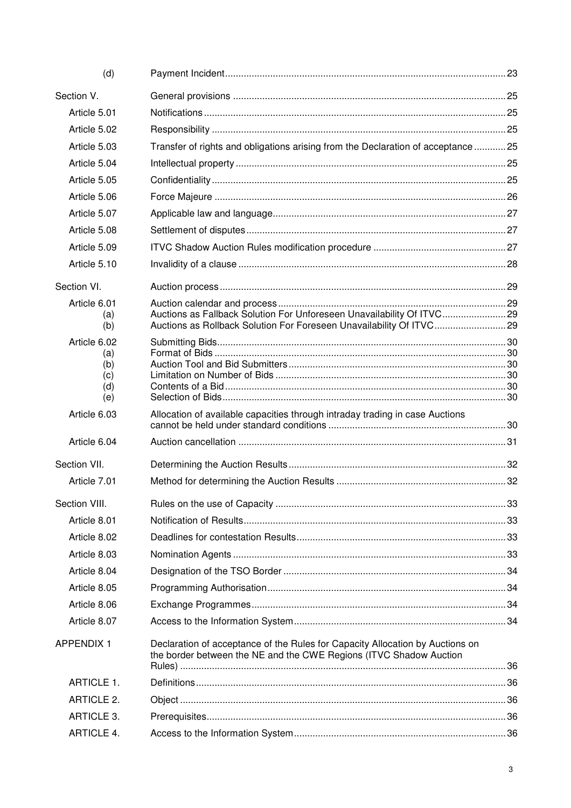| (d)               |                                                                                                                                                     |  |
|-------------------|-----------------------------------------------------------------------------------------------------------------------------------------------------|--|
| Section V.        |                                                                                                                                                     |  |
| Article 5.01      |                                                                                                                                                     |  |
| Article 5.02      |                                                                                                                                                     |  |
| Article 5.03      | Transfer of rights and obligations arising from the Declaration of acceptance 25                                                                    |  |
| Article 5.04      |                                                                                                                                                     |  |
| Article 5.05      |                                                                                                                                                     |  |
| Article 5.06      |                                                                                                                                                     |  |
| Article 5.07      |                                                                                                                                                     |  |
| Article 5.08      |                                                                                                                                                     |  |
| Article 5.09      |                                                                                                                                                     |  |
| Article 5.10      |                                                                                                                                                     |  |
| Section VI.       |                                                                                                                                                     |  |
| Article 6.01      |                                                                                                                                                     |  |
| (a)<br>(b)        | Auctions as Fallback Solution For Unforeseen Unavailability Of ITVC 29<br>Auctions as Rollback Solution For Foreseen Unavailability Of ITVC         |  |
| Article 6.02      |                                                                                                                                                     |  |
| (a)               |                                                                                                                                                     |  |
| (b)<br>(c)        |                                                                                                                                                     |  |
| (d)               |                                                                                                                                                     |  |
| (e)               |                                                                                                                                                     |  |
| Article 6.03      | Allocation of available capacities through intraday trading in case Auctions                                                                        |  |
| Article 6.04      |                                                                                                                                                     |  |
| Section VII.      |                                                                                                                                                     |  |
| Article 7.01      |                                                                                                                                                     |  |
| Section VIII.     |                                                                                                                                                     |  |
| Article 8.01      |                                                                                                                                                     |  |
| Article 8.02      |                                                                                                                                                     |  |
| Article 8.03      |                                                                                                                                                     |  |
| Article 8.04      |                                                                                                                                                     |  |
| Article 8.05      |                                                                                                                                                     |  |
| Article 8.06      |                                                                                                                                                     |  |
| Article 8.07      |                                                                                                                                                     |  |
| <b>APPENDIX 1</b> | Declaration of acceptance of the Rules for Capacity Allocation by Auctions on<br>the border between the NE and the CWE Regions (ITVC Shadow Auction |  |
| ARTICLE 1.        |                                                                                                                                                     |  |
| <b>ARTICLE 2.</b> |                                                                                                                                                     |  |
| <b>ARTICLE 3.</b> |                                                                                                                                                     |  |
| <b>ARTICLE 4.</b> |                                                                                                                                                     |  |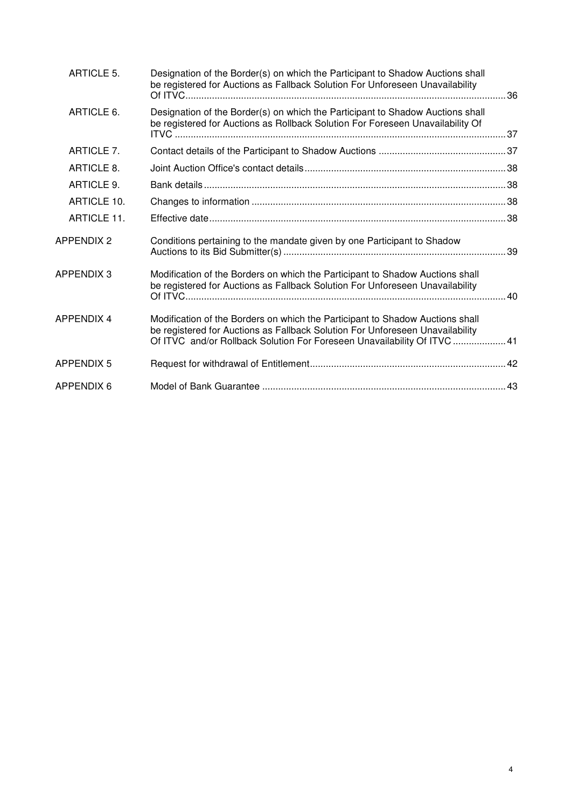| ARTICLE 5.         | Designation of the Border(s) on which the Participant to Shadow Auctions shall<br>be registered for Auctions as Fallback Solution For Unforeseen Unavailability                                                                            |  |
|--------------------|--------------------------------------------------------------------------------------------------------------------------------------------------------------------------------------------------------------------------------------------|--|
| ARTICLE 6.         | Designation of the Border(s) on which the Participant to Shadow Auctions shall<br>be registered for Auctions as Rollback Solution For Foreseen Unavailability Of                                                                           |  |
| ARTICLE 7.         |                                                                                                                                                                                                                                            |  |
| ARTICLE 8.         |                                                                                                                                                                                                                                            |  |
| ARTICLE 9.         |                                                                                                                                                                                                                                            |  |
| ARTICLE 10.        |                                                                                                                                                                                                                                            |  |
| <b>ARTICLE 11.</b> |                                                                                                                                                                                                                                            |  |
| APPENDIX 2         | Conditions pertaining to the mandate given by one Participant to Shadow                                                                                                                                                                    |  |
| APPENDIX 3         | Modification of the Borders on which the Participant to Shadow Auctions shall<br>be registered for Auctions as Fallback Solution For Unforeseen Unavailability                                                                             |  |
| <b>APPENDIX 4</b>  | Modification of the Borders on which the Participant to Shadow Auctions shall<br>be registered for Auctions as Fallback Solution For Unforeseen Unavailability<br>Of ITVC and/or Rollback Solution For Foreseen Unavailability Of ITVC  41 |  |
| APPENDIX 5         |                                                                                                                                                                                                                                            |  |
| APPENDIX 6         |                                                                                                                                                                                                                                            |  |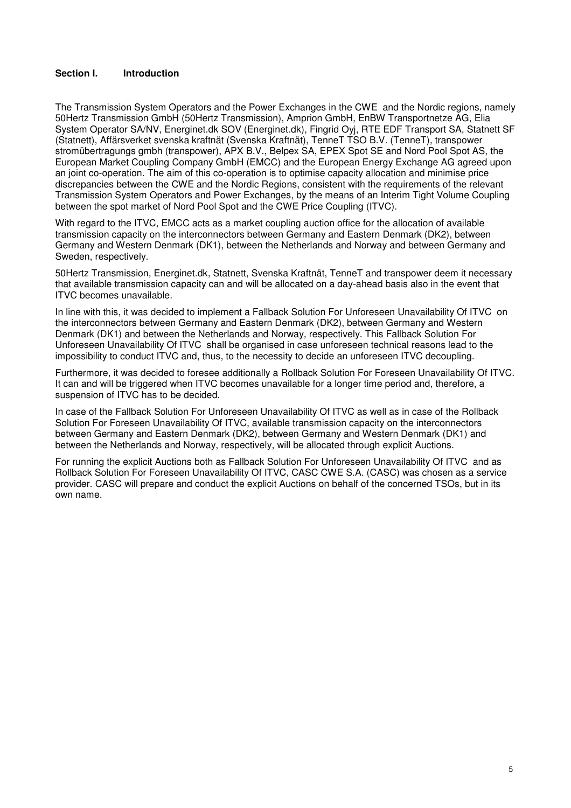### **Section I. Introduction**

The Transmission System Operators and the Power Exchanges in the CWE and the Nordic regions, namely 50Hertz Transmission GmbH (50Hertz Transmission), Amprion GmbH, EnBW Transportnetze AG, Elia System Operator SA/NV, Energinet.dk SOV (Energinet.dk), Fingrid Oyj, RTE EDF Transport SA, Statnett SF (Statnett), Affärsverket svenska kraftnät (Svenska Kraftnät), TenneT TSO B.V. (TenneT), transpower stromübertragungs gmbh (transpower), APX B.V., Belpex SA, EPEX Spot SE and Nord Pool Spot AS, the European Market Coupling Company GmbH (EMCC) and the European Energy Exchange AG agreed upon an joint co-operation. The aim of this co-operation is to optimise capacity allocation and minimise price discrepancies between the CWE and the Nordic Regions, consistent with the requirements of the relevant Transmission System Operators and Power Exchanges, by the means of an Interim Tight Volume Coupling between the spot market of Nord Pool Spot and the CWE Price Coupling (ITVC).

With regard to the ITVC, EMCC acts as a market coupling auction office for the allocation of available transmission capacity on the interconnectors between Germany and Eastern Denmark (DK2), between Germany and Western Denmark (DK1), between the Netherlands and Norway and between Germany and Sweden, respectively.

50Hertz Transmission, Energinet.dk, Statnett, Svenska Kraftnät, TenneT and transpower deem it necessary that available transmission capacity can and will be allocated on a day-ahead basis also in the event that ITVC becomes unavailable.

In line with this, it was decided to implement a Fallback Solution For Unforeseen Unavailability Of ITVC on the interconnectors between Germany and Eastern Denmark (DK2), between Germany and Western Denmark (DK1) and between the Netherlands and Norway, respectively. This Fallback Solution For Unforeseen Unavailability Of ITVC shall be organised in case unforeseen technical reasons lead to the impossibility to conduct ITVC and, thus, to the necessity to decide an unforeseen ITVC decoupling.

Furthermore, it was decided to foresee additionally a Rollback Solution For Foreseen Unavailability Of ITVC. It can and will be triggered when ITVC becomes unavailable for a longer time period and, therefore, a suspension of ITVC has to be decided.

In case of the Fallback Solution For Unforeseen Unavailability Of ITVC as well as in case of the Rollback Solution For Foreseen Unavailability Of ITVC, available transmission capacity on the interconnectors between Germany and Eastern Denmark (DK2), between Germany and Western Denmark (DK1) and between the Netherlands and Norway, respectively, will be allocated through explicit Auctions.

For running the explicit Auctions both as Fallback Solution For Unforeseen Unavailability Of ITVC and as Rollback Solution For Foreseen Unavailability Of ITVC, CASC CWE S.A. (CASC) was chosen as a service provider. CASC will prepare and conduct the explicit Auctions on behalf of the concerned TSOs, but in its own name.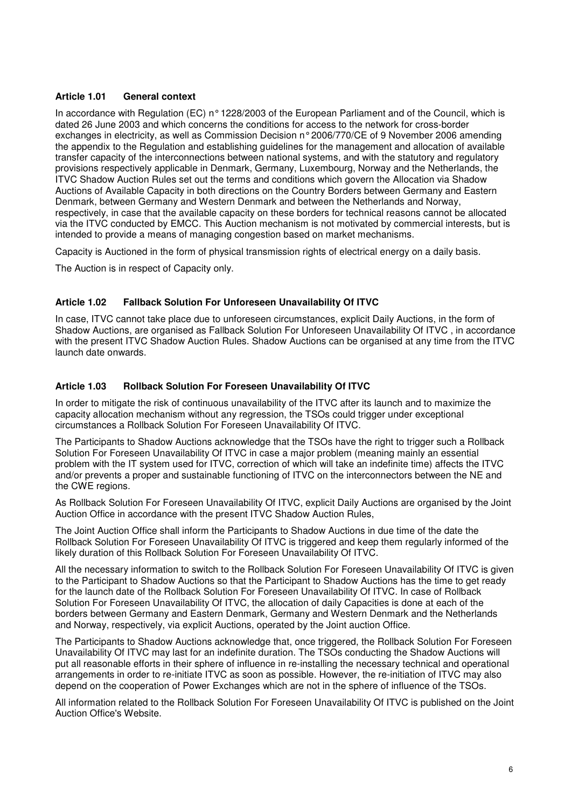### **Article 1.01 General context**

In accordance with Regulation (EC) n° 1228/2003 of the European Parliament and of the Council, which is dated 26 June 2003 and which concerns the conditions for access to the network for cross-border exchanges in electricity, as well as Commission Decision n° 2006/770/CE of 9 November 2006 amending the appendix to the Regulation and establishing guidelines for the management and allocation of available transfer capacity of the interconnections between national systems, and with the statutory and regulatory provisions respectively applicable in Denmark, Germany, Luxembourg, Norway and the Netherlands, the ITVC Shadow Auction Rules set out the terms and conditions which govern the Allocation via Shadow Auctions of Available Capacity in both directions on the Country Borders between Germany and Eastern Denmark, between Germany and Western Denmark and between the Netherlands and Norway, respectively, in case that the available capacity on these borders for technical reasons cannot be allocated via the ITVC conducted by EMCC. This Auction mechanism is not motivated by commercial interests, but is intended to provide a means of managing congestion based on market mechanisms.

Capacity is Auctioned in the form of physical transmission rights of electrical energy on a daily basis.

The Auction is in respect of Capacity only.

### **Article 1.02 Fallback Solution For Unforeseen Unavailability Of ITVC**

In case, ITVC cannot take place due to unforeseen circumstances, explicit Daily Auctions, in the form of Shadow Auctions, are organised as Fallback Solution For Unforeseen Unavailability Of ITVC , in accordance with the present ITVC Shadow Auction Rules. Shadow Auctions can be organised at any time from the ITVC launch date onwards.

# **Article 1.03 Rollback Solution For Foreseen Unavailability Of ITVC**

In order to mitigate the risk of continuous unavailability of the ITVC after its launch and to maximize the capacity allocation mechanism without any regression, the TSOs could trigger under exceptional circumstances a Rollback Solution For Foreseen Unavailability Of ITVC.

The Participants to Shadow Auctions acknowledge that the TSOs have the right to trigger such a Rollback Solution For Foreseen Unavailability Of ITVC in case a major problem (meaning mainly an essential problem with the IT system used for ITVC, correction of which will take an indefinite time) affects the ITVC and/or prevents a proper and sustainable functioning of ITVC on the interconnectors between the NE and the CWE regions.

As Rollback Solution For Foreseen Unavailability Of ITVC, explicit Daily Auctions are organised by the Joint Auction Office in accordance with the present ITVC Shadow Auction Rules,

The Joint Auction Office shall inform the Participants to Shadow Auctions in due time of the date the Rollback Solution For Foreseen Unavailability Of ITVC is triggered and keep them regularly informed of the likely duration of this Rollback Solution For Foreseen Unavailability Of ITVC.

All the necessary information to switch to the Rollback Solution For Foreseen Unavailability Of ITVC is given to the Participant to Shadow Auctions so that the Participant to Shadow Auctions has the time to get ready for the launch date of the Rollback Solution For Foreseen Unavailability Of ITVC. In case of Rollback Solution For Foreseen Unavailability Of ITVC, the allocation of daily Capacities is done at each of the borders between Germany and Eastern Denmark, Germany and Western Denmark and the Netherlands and Norway, respectively, via explicit Auctions, operated by the Joint auction Office.

The Participants to Shadow Auctions acknowledge that, once triggered, the Rollback Solution For Foreseen Unavailability Of ITVC may last for an indefinite duration. The TSOs conducting the Shadow Auctions will put all reasonable efforts in their sphere of influence in re-installing the necessary technical and operational arrangements in order to re-initiate ITVC as soon as possible. However, the re-initiation of ITVC may also depend on the cooperation of Power Exchanges which are not in the sphere of influence of the TSOs.

All information related to the Rollback Solution For Foreseen Unavailability Of ITVC is published on the Joint Auction Office's Website.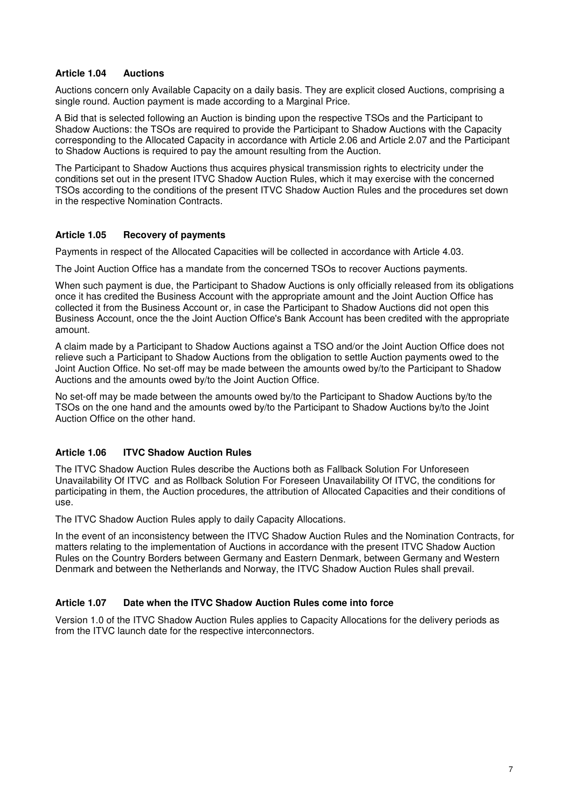#### **Article 1.04 Auctions**

Auctions concern only Available Capacity on a daily basis. They are explicit closed Auctions, comprising a single round. Auction payment is made according to a Marginal Price.

A Bid that is selected following an Auction is binding upon the respective TSOs and the Participant to Shadow Auctions: the TSOs are required to provide the Participant to Shadow Auctions with the Capacity corresponding to the Allocated Capacity in accordance with Article 2.06 and Article 2.07 and the Participant to Shadow Auctions is required to pay the amount resulting from the Auction.

The Participant to Shadow Auctions thus acquires physical transmission rights to electricity under the conditions set out in the present ITVC Shadow Auction Rules, which it may exercise with the concerned TSOs according to the conditions of the present ITVC Shadow Auction Rules and the procedures set down in the respective Nomination Contracts.

### **Article 1.05 Recovery of payments**

Payments in respect of the Allocated Capacities will be collected in accordance with Article 4.03.

The Joint Auction Office has a mandate from the concerned TSOs to recover Auctions payments.

When such payment is due, the Participant to Shadow Auctions is only officially released from its obligations once it has credited the Business Account with the appropriate amount and the Joint Auction Office has collected it from the Business Account or, in case the Participant to Shadow Auctions did not open this Business Account, once the the Joint Auction Office's Bank Account has been credited with the appropriate amount.

A claim made by a Participant to Shadow Auctions against a TSO and/or the Joint Auction Office does not relieve such a Participant to Shadow Auctions from the obligation to settle Auction payments owed to the Joint Auction Office. No set-off may be made between the amounts owed by/to the Participant to Shadow Auctions and the amounts owed by/to the Joint Auction Office.

No set-off may be made between the amounts owed by/to the Participant to Shadow Auctions by/to the TSOs on the one hand and the amounts owed by/to the Participant to Shadow Auctions by/to the Joint Auction Office on the other hand.

### **Article 1.06 ITVC Shadow Auction Rules**

The ITVC Shadow Auction Rules describe the Auctions both as Fallback Solution For Unforeseen Unavailability Of ITVC and as Rollback Solution For Foreseen Unavailability Of ITVC, the conditions for participating in them, the Auction procedures, the attribution of Allocated Capacities and their conditions of use.

The ITVC Shadow Auction Rules apply to daily Capacity Allocations.

In the event of an inconsistency between the ITVC Shadow Auction Rules and the Nomination Contracts, for matters relating to the implementation of Auctions in accordance with the present ITVC Shadow Auction Rules on the Country Borders between Germany and Eastern Denmark, between Germany and Western Denmark and between the Netherlands and Norway, the ITVC Shadow Auction Rules shall prevail.

### **Article 1.07 Date when the ITVC Shadow Auction Rules come into force**

Version 1.0 of the ITVC Shadow Auction Rules applies to Capacity Allocations for the delivery periods as from the ITVC launch date for the respective interconnectors.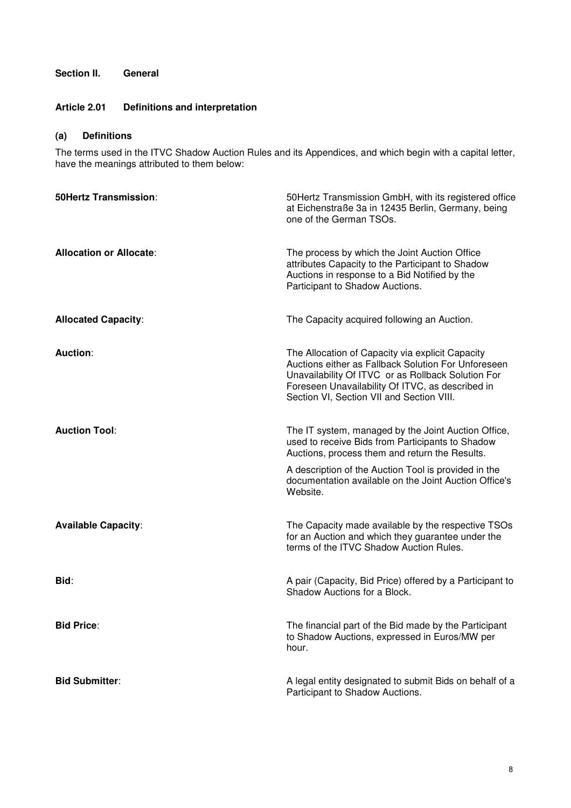# **Section II. General**

# **Article 2.01 Definitions and interpretation**

# **(a) Definitions**

The terms used in the ITVC Shadow Auction Rules and its Appendices, and which begin with a capital letter, have the meanings attributed to them below:

| <b>50Hertz Transmission:</b>   | 50 Hertz Transmission GmbH, with its registered office<br>at Eichenstraße 3a in 12435 Berlin, Germany, being<br>one of the German TSOs.                                                                                                                        |
|--------------------------------|----------------------------------------------------------------------------------------------------------------------------------------------------------------------------------------------------------------------------------------------------------------|
| <b>Allocation or Allocate:</b> | The process by which the Joint Auction Office<br>attributes Capacity to the Participant to Shadow<br>Auctions in response to a Bid Notified by the<br>Participant to Shadow Auctions.                                                                          |
| <b>Allocated Capacity:</b>     | The Capacity acquired following an Auction.                                                                                                                                                                                                                    |
| <b>Auction:</b>                | The Allocation of Capacity via explicit Capacity<br>Auctions either as Fallback Solution For Unforeseen<br>Unavailability Of ITVC or as Rollback Solution For<br>Foreseen Unavailability Of ITVC, as described in<br>Section VI, Section VII and Section VIII. |
| <b>Auction Tool:</b>           | The IT system, managed by the Joint Auction Office,<br>used to receive Bids from Participants to Shadow<br>Auctions, process them and return the Results.                                                                                                      |
|                                | A description of the Auction Tool is provided in the<br>documentation available on the Joint Auction Office's<br>Website.                                                                                                                                      |
| <b>Available Capacity:</b>     | The Capacity made available by the respective TSOs<br>for an Auction and which they guarantee under the<br>terms of the ITVC Shadow Auction Rules.                                                                                                             |
| Bid:                           | A pair (Capacity, Bid Price) offered by a Participant to<br>Shadow Auctions for a Block.                                                                                                                                                                       |
| <b>Bid Price:</b>              | The financial part of the Bid made by the Participant<br>to Shadow Auctions, expressed in Euros/MW per<br>hour.                                                                                                                                                |
| <b>Bid Submitter:</b>          | A legal entity designated to submit Bids on behalf of a<br>Participant to Shadow Auctions.                                                                                                                                                                     |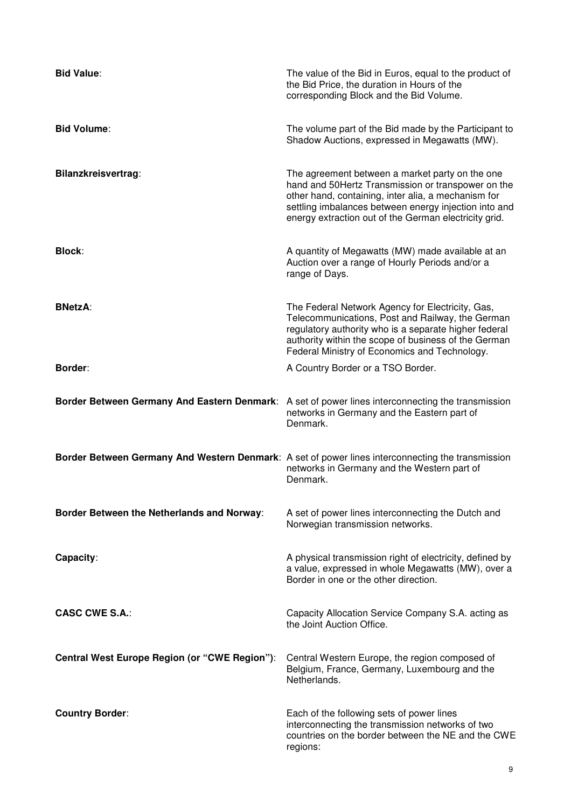| <b>Bid Value:</b>                             | The value of the Bid in Euros, equal to the product of<br>the Bid Price, the duration in Hours of the<br>corresponding Block and the Bid Volume.                                                                                                                               |
|-----------------------------------------------|--------------------------------------------------------------------------------------------------------------------------------------------------------------------------------------------------------------------------------------------------------------------------------|
| <b>Bid Volume:</b>                            | The volume part of the Bid made by the Participant to<br>Shadow Auctions, expressed in Megawatts (MW).                                                                                                                                                                         |
| Bilanzkreisvertrag:                           | The agreement between a market party on the one<br>hand and 50Hertz Transmission or transpower on the<br>other hand, containing, inter alia, a mechanism for<br>settling imbalances between energy injection into and<br>energy extraction out of the German electricity grid. |
| <b>Block:</b>                                 | A quantity of Megawatts (MW) made available at an<br>Auction over a range of Hourly Periods and/or a<br>range of Days.                                                                                                                                                         |
| <b>BNetzA:</b>                                | The Federal Network Agency for Electricity, Gas,<br>Telecommunications, Post and Railway, the German<br>regulatory authority who is a separate higher federal<br>authority within the scope of business of the German<br>Federal Ministry of Economics and Technology.         |
| Border:                                       | A Country Border or a TSO Border.                                                                                                                                                                                                                                              |
|                                               | Border Between Germany And Eastern Denmark: A set of power lines interconnecting the transmission<br>networks in Germany and the Eastern part of<br>Denmark.                                                                                                                   |
|                                               | Border Between Germany And Western Denmark: A set of power lines interconnecting the transmission<br>networks in Germany and the Western part of<br>Denmark.                                                                                                                   |
| Border Between the Netherlands and Norway:    | A set of power lines interconnecting the Dutch and<br>Norwegian transmission networks.                                                                                                                                                                                         |
| Capacity:                                     | A physical transmission right of electricity, defined by<br>a value, expressed in whole Megawatts (MW), over a<br>Border in one or the other direction.                                                                                                                        |
| <b>CASC CWE S.A.:</b>                         | Capacity Allocation Service Company S.A. acting as<br>the Joint Auction Office.                                                                                                                                                                                                |
| Central West Europe Region (or "CWE Region"): | Central Western Europe, the region composed of<br>Belgium, France, Germany, Luxembourg and the<br>Netherlands.                                                                                                                                                                 |
| <b>Country Border:</b>                        | Each of the following sets of power lines<br>interconnecting the transmission networks of two<br>countries on the border between the NE and the CWE<br>regions:                                                                                                                |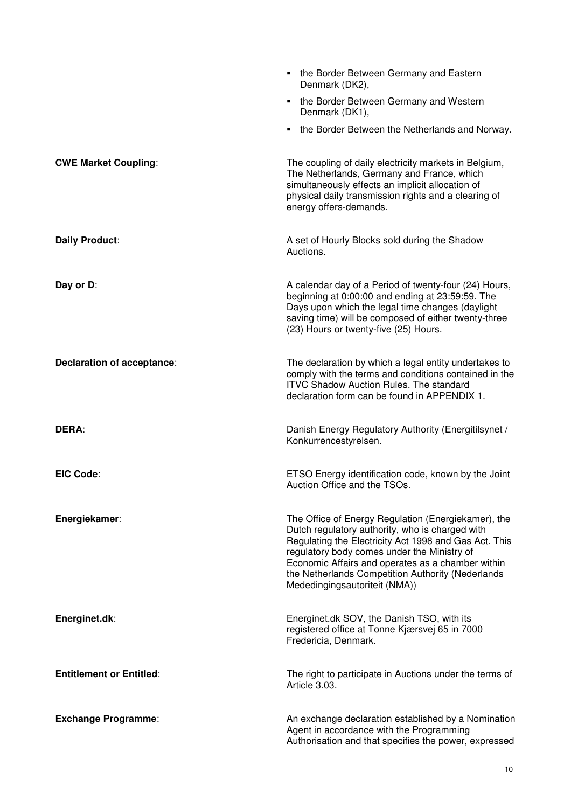|                                 | the Border Between Germany and Eastern<br>Denmark (DK2),                                                                                                                                                                                                                                                                                                  |
|---------------------------------|-----------------------------------------------------------------------------------------------------------------------------------------------------------------------------------------------------------------------------------------------------------------------------------------------------------------------------------------------------------|
|                                 | the Border Between Germany and Western<br>٠<br>Denmark (DK1),                                                                                                                                                                                                                                                                                             |
|                                 | • the Border Between the Netherlands and Norway.                                                                                                                                                                                                                                                                                                          |
| <b>CWE Market Coupling:</b>     | The coupling of daily electricity markets in Belgium,<br>The Netherlands, Germany and France, which<br>simultaneously effects an implicit allocation of<br>physical daily transmission rights and a clearing of<br>energy offers-demands.                                                                                                                 |
| Daily Product:                  | A set of Hourly Blocks sold during the Shadow<br>Auctions.                                                                                                                                                                                                                                                                                                |
| Day or D:                       | A calendar day of a Period of twenty-four (24) Hours,<br>beginning at 0:00:00 and ending at 23:59:59. The<br>Days upon which the legal time changes (daylight<br>saving time) will be composed of either twenty-three<br>(23) Hours or twenty-five (25) Hours.                                                                                            |
| Declaration of acceptance:      | The declaration by which a legal entity undertakes to<br>comply with the terms and conditions contained in the<br><b>ITVC Shadow Auction Rules. The standard</b><br>declaration form can be found in APPENDIX 1.                                                                                                                                          |
| <b>DERA:</b>                    | Danish Energy Regulatory Authority (Energitilsynet /<br>Konkurrencestyrelsen.                                                                                                                                                                                                                                                                             |
| <b>EIC Code:</b>                | ETSO Energy identification code, known by the Joint<br>Auction Office and the TSOs.                                                                                                                                                                                                                                                                       |
| Energiekamer:                   | The Office of Energy Regulation (Energiekamer), the<br>Dutch regulatory authority, who is charged with<br>Regulating the Electricity Act 1998 and Gas Act. This<br>regulatory body comes under the Ministry of<br>Economic Affairs and operates as a chamber within<br>the Netherlands Competition Authority (Nederlands<br>Mededingingsautoriteit (NMA)) |
| Energinet.dk:                   | Energinet.dk SOV, the Danish TSO, with its<br>registered office at Tonne Kjærsvej 65 in 7000<br>Fredericia, Denmark.                                                                                                                                                                                                                                      |
| <b>Entitlement or Entitled:</b> | The right to participate in Auctions under the terms of<br>Article 3.03.                                                                                                                                                                                                                                                                                  |
| <b>Exchange Programme:</b>      | An exchange declaration established by a Nomination<br>Agent in accordance with the Programming<br>Authorisation and that specifies the power, expressed                                                                                                                                                                                                  |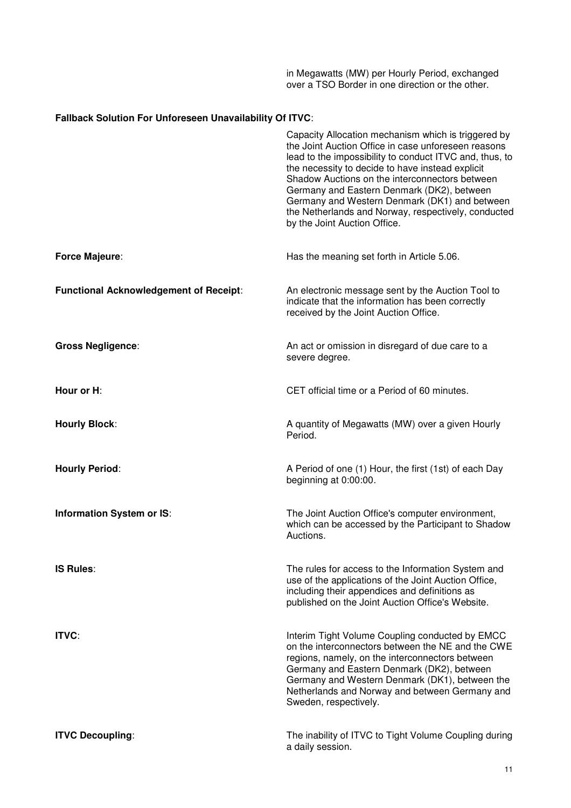in Megawatts (MW) per Hourly Period, exchanged over a TSO Border in one direction or the other.

# **Fallback Solution For Unforeseen Unavailability Of ITVC**:

|                                               | Capacity Allocation mechanism which is triggered by<br>the Joint Auction Office in case unforeseen reasons<br>lead to the impossibility to conduct ITVC and, thus, to<br>the necessity to decide to have instead explicit<br>Shadow Auctions on the interconnectors between<br>Germany and Eastern Denmark (DK2), between<br>Germany and Western Denmark (DK1) and between<br>the Netherlands and Norway, respectively, conducted<br>by the Joint Auction Office. |
|-----------------------------------------------|-------------------------------------------------------------------------------------------------------------------------------------------------------------------------------------------------------------------------------------------------------------------------------------------------------------------------------------------------------------------------------------------------------------------------------------------------------------------|
| <b>Force Majeure:</b>                         | Has the meaning set forth in Article 5.06.                                                                                                                                                                                                                                                                                                                                                                                                                        |
| <b>Functional Acknowledgement of Receipt:</b> | An electronic message sent by the Auction Tool to<br>indicate that the information has been correctly<br>received by the Joint Auction Office.                                                                                                                                                                                                                                                                                                                    |
| <b>Gross Negligence:</b>                      | An act or omission in disregard of due care to a<br>severe degree.                                                                                                                                                                                                                                                                                                                                                                                                |
| Hour or H:                                    | CET official time or a Period of 60 minutes.                                                                                                                                                                                                                                                                                                                                                                                                                      |
| <b>Hourly Block:</b>                          | A quantity of Megawatts (MW) over a given Hourly<br>Period.                                                                                                                                                                                                                                                                                                                                                                                                       |
| <b>Hourly Period:</b>                         | A Period of one (1) Hour, the first (1st) of each Day<br>beginning at 0:00:00.                                                                                                                                                                                                                                                                                                                                                                                    |
| Information System or IS:                     | The Joint Auction Office's computer environment,<br>which can be accessed by the Participant to Shadow<br>Auctions.                                                                                                                                                                                                                                                                                                                                               |
| <b>IS Rules:</b>                              | The rules for access to the Information System and<br>use of the applications of the Joint Auction Office,<br>including their appendices and definitions as<br>published on the Joint Auction Office's Website.                                                                                                                                                                                                                                                   |
| <b>ITVC:</b>                                  | Interim Tight Volume Coupling conducted by EMCC<br>on the interconnectors between the NE and the CWE<br>regions, namely, on the interconnectors between<br>Germany and Eastern Denmark (DK2), between<br>Germany and Western Denmark (DK1), between the<br>Netherlands and Norway and between Germany and<br>Sweden, respectively.                                                                                                                                |
| <b>ITVC Decoupling:</b>                       | The inability of ITVC to Tight Volume Coupling during<br>a daily session.                                                                                                                                                                                                                                                                                                                                                                                         |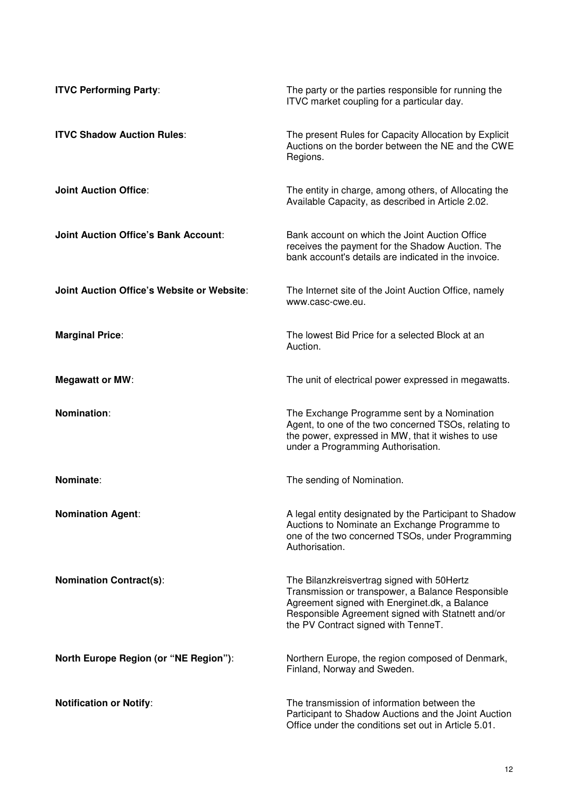| <b>ITVC Performing Party:</b>               | The party or the parties responsible for running the<br>ITVC market coupling for a particular day.                                                                                                                                           |
|---------------------------------------------|----------------------------------------------------------------------------------------------------------------------------------------------------------------------------------------------------------------------------------------------|
| <b>ITVC Shadow Auction Rules:</b>           | The present Rules for Capacity Allocation by Explicit<br>Auctions on the border between the NE and the CWE<br>Regions.                                                                                                                       |
| <b>Joint Auction Office:</b>                | The entity in charge, among others, of Allocating the<br>Available Capacity, as described in Article 2.02.                                                                                                                                   |
| <b>Joint Auction Office's Bank Account:</b> | Bank account on which the Joint Auction Office<br>receives the payment for the Shadow Auction. The<br>bank account's details are indicated in the invoice.                                                                                   |
| Joint Auction Office's Website or Website:  | The Internet site of the Joint Auction Office, namely<br>www.casc-cwe.eu.                                                                                                                                                                    |
| <b>Marginal Price:</b>                      | The lowest Bid Price for a selected Block at an<br>Auction.                                                                                                                                                                                  |
| <b>Megawatt or MW:</b>                      | The unit of electrical power expressed in megawatts.                                                                                                                                                                                         |
| Nomination:                                 | The Exchange Programme sent by a Nomination<br>Agent, to one of the two concerned TSOs, relating to<br>the power, expressed in MW, that it wishes to use<br>under a Programming Authorisation.                                               |
| Nominate:                                   | The sending of Nomination.                                                                                                                                                                                                                   |
| <b>Nomination Agent:</b>                    | A legal entity designated by the Participant to Shadow<br>Auctions to Nominate an Exchange Programme to<br>one of the two concerned TSOs, under Programming<br>Authorisation.                                                                |
| <b>Nomination Contract(s):</b>              | The Bilanzkreisvertrag signed with 50Hertz<br>Transmission or transpower, a Balance Responsible<br>Agreement signed with Energinet.dk, a Balance<br>Responsible Agreement signed with Statnett and/or<br>the PV Contract signed with TenneT. |
| North Europe Region (or "NE Region"):       | Northern Europe, the region composed of Denmark,<br>Finland, Norway and Sweden.                                                                                                                                                              |
| <b>Notification or Notify:</b>              | The transmission of information between the<br>Participant to Shadow Auctions and the Joint Auction<br>Office under the conditions set out in Article 5.01.                                                                                  |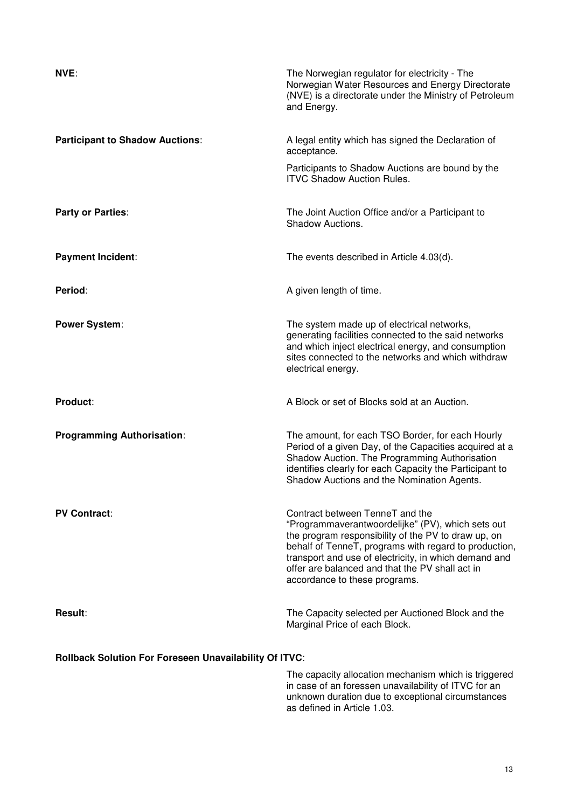| NVE:                                                          | The Norwegian regulator for electricity - The<br>Norwegian Water Resources and Energy Directorate<br>(NVE) is a directorate under the Ministry of Petroleum<br>and Energy.                                                                                                                                                                        |  |
|---------------------------------------------------------------|---------------------------------------------------------------------------------------------------------------------------------------------------------------------------------------------------------------------------------------------------------------------------------------------------------------------------------------------------|--|
| <b>Participant to Shadow Auctions:</b>                        | A legal entity which has signed the Declaration of<br>acceptance.                                                                                                                                                                                                                                                                                 |  |
|                                                               | Participants to Shadow Auctions are bound by the<br><b>ITVC Shadow Auction Rules.</b>                                                                                                                                                                                                                                                             |  |
| Party or Parties:                                             | The Joint Auction Office and/or a Participant to<br><b>Shadow Auctions.</b>                                                                                                                                                                                                                                                                       |  |
| <b>Payment Incident:</b>                                      | The events described in Article 4.03(d).                                                                                                                                                                                                                                                                                                          |  |
| Period:                                                       | A given length of time.                                                                                                                                                                                                                                                                                                                           |  |
| <b>Power System:</b>                                          | The system made up of electrical networks,<br>generating facilities connected to the said networks<br>and which inject electrical energy, and consumption<br>sites connected to the networks and which withdraw<br>electrical energy.                                                                                                             |  |
| Product:                                                      | A Block or set of Blocks sold at an Auction.                                                                                                                                                                                                                                                                                                      |  |
| <b>Programming Authorisation:</b>                             | The amount, for each TSO Border, for each Hourly<br>Period of a given Day, of the Capacities acquired at a<br>Shadow Auction. The Programming Authorisation<br>identifies clearly for each Capacity the Participant to<br>Shadow Auctions and the Nomination Agents.                                                                              |  |
| <b>PV Contract:</b>                                           | Contract between TenneT and the<br>"Programmaverantwoordelijke" (PV), which sets out<br>the program responsibility of the PV to draw up, on<br>behalf of TenneT, programs with regard to production,<br>transport and use of electricity, in which demand and<br>offer are balanced and that the PV shall act in<br>accordance to these programs. |  |
| <b>Result:</b>                                                | The Capacity selected per Auctioned Block and the<br>Marginal Price of each Block.                                                                                                                                                                                                                                                                |  |
| <b>Rollback Solution For Foreseen Unavailability Of ITVC:</b> |                                                                                                                                                                                                                                                                                                                                                   |  |
|                                                               | The capacity allocation mechanism which is triggered<br>of an forosoon unovailability of $ITUC$ for                                                                                                                                                                                                                                               |  |

in case of an foressen unavailability of ITVC for an unknown duration due to exceptional circumstances as defined in Article 1.03.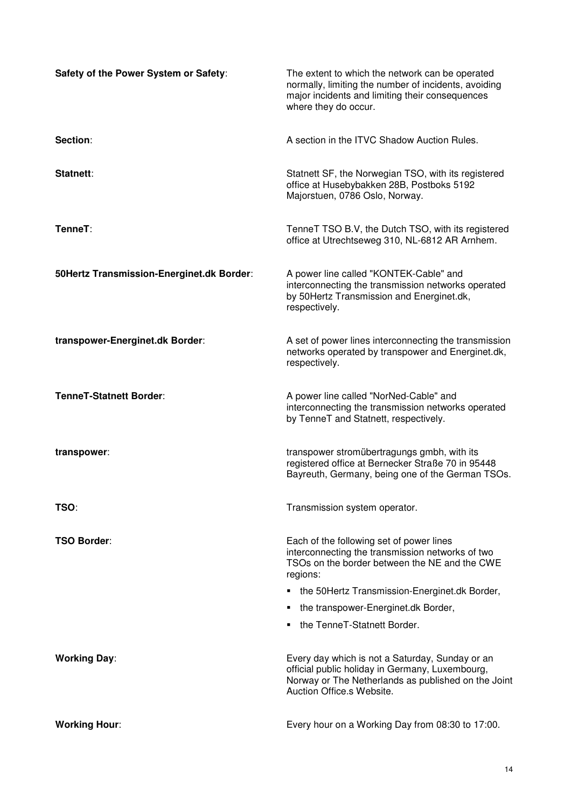| Safety of the Power System or Safety:     | The extent to which the network can be operated<br>normally, limiting the number of incidents, avoiding<br>major incidents and limiting their consequences<br>where they do occur.     |
|-------------------------------------------|----------------------------------------------------------------------------------------------------------------------------------------------------------------------------------------|
| Section:                                  | A section in the ITVC Shadow Auction Rules.                                                                                                                                            |
| Statnett:                                 | Statnett SF, the Norwegian TSO, with its registered<br>office at Husebybakken 28B, Postboks 5192<br>Majorstuen, 0786 Oslo, Norway.                                                     |
| TenneT:                                   | TenneT TSO B.V, the Dutch TSO, with its registered<br>office at Utrechtseweg 310, NL-6812 AR Arnhem.                                                                                   |
| 50Hertz Transmission-Energinet.dk Border: | A power line called "KONTEK-Cable" and<br>interconnecting the transmission networks operated<br>by 50Hertz Transmission and Energinet.dk,<br>respectively.                             |
| transpower-Energinet.dk Border:           | A set of power lines interconnecting the transmission<br>networks operated by transpower and Energinet.dk,<br>respectively.                                                            |
| <b>TenneT-Statnett Border:</b>            | A power line called "NorNed-Cable" and<br>interconnecting the transmission networks operated<br>by TenneT and Statnett, respectively.                                                  |
| transpower:                               | transpower stromübertragungs gmbh, with its<br>registered office at Bernecker Straße 70 in 95448<br>Bayreuth, Germany, being one of the German TSOs.                                   |
| TSO:                                      | Transmission system operator.                                                                                                                                                          |
| <b>TSO Border:</b>                        | Each of the following set of power lines<br>interconnecting the transmission networks of two<br>TSOs on the border between the NE and the CWE<br>regions:                              |
|                                           | the 50Hertz Transmission-Energinet.dk Border,                                                                                                                                          |
|                                           | the transpower-Energinet.dk Border,                                                                                                                                                    |
|                                           | the TenneT-Statnett Border.                                                                                                                                                            |
| <b>Working Day:</b>                       | Every day which is not a Saturday, Sunday or an<br>official public holiday in Germany, Luxembourg,<br>Norway or The Netherlands as published on the Joint<br>Auction Office.s Website. |
| <b>Working Hour:</b>                      | Every hour on a Working Day from 08:30 to 17:00.                                                                                                                                       |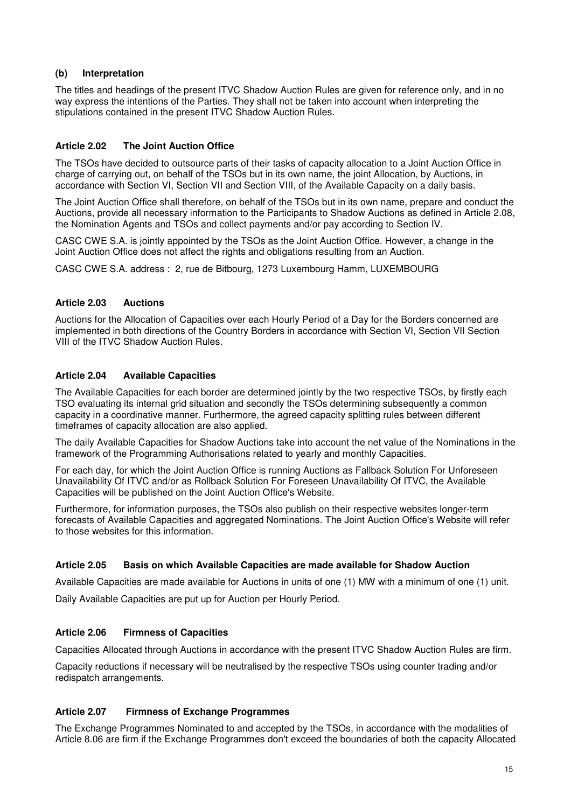### **(b) Interpretation**

The titles and headings of the present ITVC Shadow Auction Rules are given for reference only, and in no way express the intentions of the Parties. They shall not be taken into account when interpreting the stipulations contained in the present ITVC Shadow Auction Rules.

# **Article 2.02 The Joint Auction Office**

The TSOs have decided to outsource parts of their tasks of capacity allocation to a Joint Auction Office in charge of carrying out, on behalf of the TSOs but in its own name, the joint Allocation, by Auctions, in accordance with Section VI, Section VII and Section VIII, of the Available Capacity on a daily basis.

The Joint Auction Office shall therefore, on behalf of the TSOs but in its own name, prepare and conduct the Auctions, provide all necessary information to the Participants to Shadow Auctions as defined in Article 2.08, the Nomination Agents and TSOs and collect payments and/or pay according to Section IV.

CASC CWE S.A. is jointly appointed by the TSOs as the Joint Auction Office. However, a change in the Joint Auction Office does not affect the rights and obligations resulting from an Auction.

CASC CWE S.A. address : 2, rue de Bitbourg, 1273 Luxembourg Hamm, LUXEMBOURG

# **Article 2.03 Auctions**

Auctions for the Allocation of Capacities over each Hourly Period of a Day for the Borders concerned are implemented in both directions of the Country Borders in accordance with Section VI, Section VII Section VIII of the ITVC Shadow Auction Rules.

# **Article 2.04 Available Capacities**

The Available Capacities for each border are determined jointly by the two respective TSOs, by firstly each TSO evaluating its internal grid situation and secondly the TSOs determining subsequently a common capacity in a coordinative manner. Furthermore, the agreed capacity splitting rules between different timeframes of capacity allocation are also applied.

The daily Available Capacities for Shadow Auctions take into account the net value of the Nominations in the framework of the Programming Authorisations related to yearly and monthly Capacities.

For each day, for which the Joint Auction Office is running Auctions as Fallback Solution For Unforeseen Unavailability Of ITVC and/or as Rollback Solution For Foreseen Unavailability Of ITVC, the Available Capacities will be published on the Joint Auction Office's Website.

Furthermore, for information purposes, the TSOs also publish on their respective websites longer-term forecasts of Available Capacities and aggregated Nominations. The Joint Auction Office's Website will refer to those websites for this information.

### **Article 2.05 Basis on which Available Capacities are made available for Shadow Auction**

Available Capacities are made available for Auctions in units of one (1) MW with a minimum of one (1) unit.

Daily Available Capacities are put up for Auction per Hourly Period.

### **Article 2.06 Firmness of Capacities**

Capacities Allocated through Auctions in accordance with the present ITVC Shadow Auction Rules are firm.

Capacity reductions if necessary will be neutralised by the respective TSOs using counter trading and/or redispatch arrangements.

### **Article 2.07 Firmness of Exchange Programmes**

The Exchange Programmes Nominated to and accepted by the TSOs, in accordance with the modalities of Article 8.06 are firm if the Exchange Programmes don't exceed the boundaries of both the capacity Allocated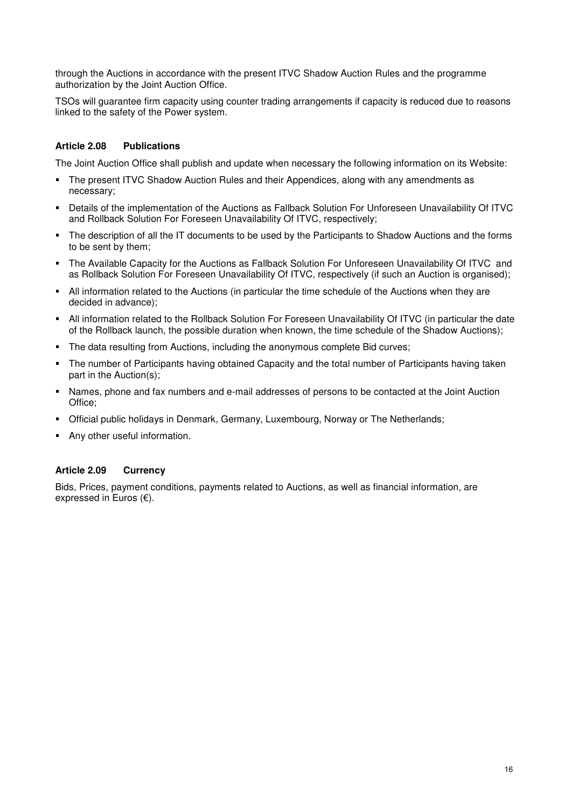through the Auctions in accordance with the present ITVC Shadow Auction Rules and the programme authorization by the Joint Auction Office.

TSOs will guarantee firm capacity using counter trading arrangements if capacity is reduced due to reasons linked to the safety of the Power system.

### **Article 2.08 Publications**

The Joint Auction Office shall publish and update when necessary the following information on its Website:

- The present ITVC Shadow Auction Rules and their Appendices, along with any amendments as necessary;
- Details of the implementation of the Auctions as Fallback Solution For Unforeseen Unavailability Of ITVC and Rollback Solution For Foreseen Unavailability Of ITVC, respectively;
- The description of all the IT documents to be used by the Participants to Shadow Auctions and the forms to be sent by them;
- The Available Capacity for the Auctions as Fallback Solution For Unforeseen Unavailability Of ITVC and as Rollback Solution For Foreseen Unavailability Of ITVC, respectively (if such an Auction is organised);
- All information related to the Auctions (in particular the time schedule of the Auctions when they are decided in advance);
- All information related to the Rollback Solution For Foreseen Unavailability Of ITVC (in particular the date of the Rollback launch, the possible duration when known, the time schedule of the Shadow Auctions);
- The data resulting from Auctions, including the anonymous complete Bid curves;
- The number of Participants having obtained Capacity and the total number of Participants having taken part in the Auction(s);
- Names, phone and fax numbers and e-mail addresses of persons to be contacted at the Joint Auction Office;
- Official public holidays in Denmark, Germany, Luxembourg, Norway or The Netherlands;
- Any other useful information.

### **Article 2.09 Currency**

Bids, Prices, payment conditions, payments related to Auctions, as well as financial information, are expressed in Euros (€).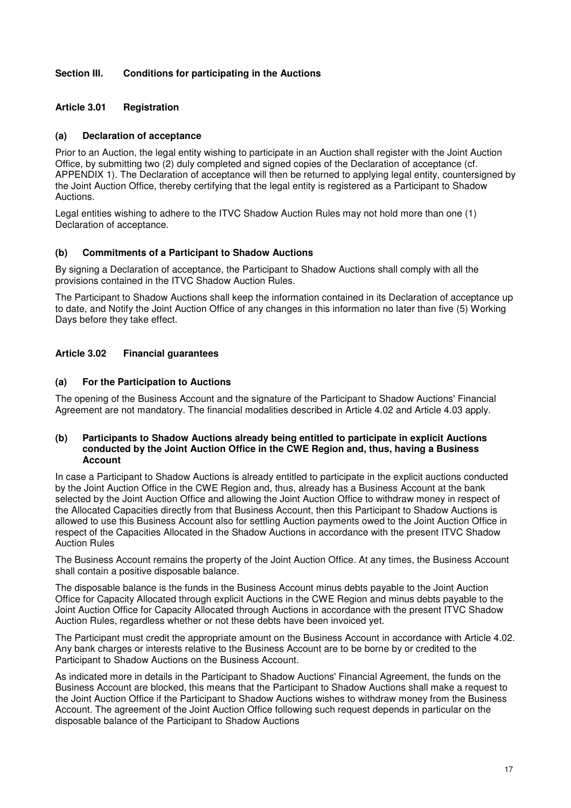# **Section III. Conditions for participating in the Auctions**

### **Article 3.01 Registration**

### **(a) Declaration of acceptance**

Prior to an Auction, the legal entity wishing to participate in an Auction shall register with the Joint Auction Office, by submitting two (2) duly completed and signed copies of the Declaration of acceptance (cf. APPENDIX 1). The Declaration of acceptance will then be returned to applying legal entity, countersigned by the Joint Auction Office, thereby certifying that the legal entity is registered as a Participant to Shadow **Auctions** 

Legal entities wishing to adhere to the ITVC Shadow Auction Rules may not hold more than one (1) Declaration of acceptance.

# **(b) Commitments of a Participant to Shadow Auctions**

By signing a Declaration of acceptance, the Participant to Shadow Auctions shall comply with all the provisions contained in the ITVC Shadow Auction Rules.

The Participant to Shadow Auctions shall keep the information contained in its Declaration of acceptance up to date, and Notify the Joint Auction Office of any changes in this information no later than five (5) Working Days before they take effect.

# **Article 3.02 Financial guarantees**

### **(a) For the Participation to Auctions**

The opening of the Business Account and the signature of the Participant to Shadow Auctions' Financial Agreement are not mandatory. The financial modalities described in Article 4.02 and Article 4.03 apply.

#### **(b) Participants to Shadow Auctions already being entitled to participate in explicit Auctions conducted by the Joint Auction Office in the CWE Region and, thus, having a Business Account**

In case a Participant to Shadow Auctions is already entitled to participate in the explicit auctions conducted by the Joint Auction Office in the CWE Region and, thus, already has a Business Account at the bank selected by the Joint Auction Office and allowing the Joint Auction Office to withdraw money in respect of the Allocated Capacities directly from that Business Account, then this Participant to Shadow Auctions is allowed to use this Business Account also for settling Auction payments owed to the Joint Auction Office in respect of the Capacities Allocated in the Shadow Auctions in accordance with the present ITVC Shadow Auction Rules

The Business Account remains the property of the Joint Auction Office. At any times, the Business Account shall contain a positive disposable balance.

The disposable balance is the funds in the Business Account minus debts payable to the Joint Auction Office for Capacity Allocated through explicit Auctions in the CWE Region and minus debts payable to the Joint Auction Office for Capacity Allocated through Auctions in accordance with the present ITVC Shadow Auction Rules, regardless whether or not these debts have been invoiced yet.

The Participant must credit the appropriate amount on the Business Account in accordance with Article 4.02. Any bank charges or interests relative to the Business Account are to be borne by or credited to the Participant to Shadow Auctions on the Business Account.

As indicated more in details in the Participant to Shadow Auctions' Financial Agreement, the funds on the Business Account are blocked, this means that the Participant to Shadow Auctions shall make a request to the Joint Auction Office if the Participant to Shadow Auctions wishes to withdraw money from the Business Account. The agreement of the Joint Auction Office following such request depends in particular on the disposable balance of the Participant to Shadow Auctions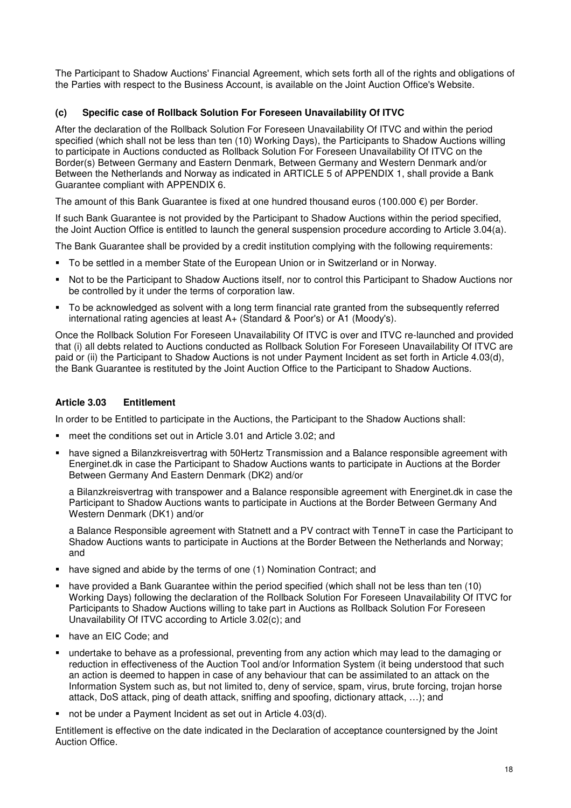The Participant to Shadow Auctions' Financial Agreement, which sets forth all of the rights and obligations of the Parties with respect to the Business Account, is available on the Joint Auction Office's Website.

# **(c) Specific case of Rollback Solution For Foreseen Unavailability Of ITVC**

After the declaration of the Rollback Solution For Foreseen Unavailability Of ITVC and within the period specified (which shall not be less than ten (10) Working Days), the Participants to Shadow Auctions willing to participate in Auctions conducted as Rollback Solution For Foreseen Unavailability Of ITVC on the Border(s) Between Germany and Eastern Denmark, Between Germany and Western Denmark and/or Between the Netherlands and Norway as indicated in ARTICLE 5 of APPENDIX 1, shall provide a Bank Guarantee compliant with APPENDIX 6.

The amount of this Bank Guarantee is fixed at one hundred thousand euros (100.000  $\epsilon$ ) per Border.

If such Bank Guarantee is not provided by the Participant to Shadow Auctions within the period specified, the Joint Auction Office is entitled to launch the general suspension procedure according to Article 3.04(a).

The Bank Guarantee shall be provided by a credit institution complying with the following requirements:

- To be settled in a member State of the European Union or in Switzerland or in Norway.
- Not to be the Participant to Shadow Auctions itself, nor to control this Participant to Shadow Auctions nor be controlled by it under the terms of corporation law.
- To be acknowledged as solvent with a long term financial rate granted from the subsequently referred international rating agencies at least A+ (Standard & Poor's) or A1 (Moody's).

Once the Rollback Solution For Foreseen Unavailability Of ITVC is over and ITVC re-launched and provided that (i) all debts related to Auctions conducted as Rollback Solution For Foreseen Unavailability Of ITVC are paid or (ii) the Participant to Shadow Auctions is not under Payment Incident as set forth in Article 4.03(d), the Bank Guarantee is restituted by the Joint Auction Office to the Participant to Shadow Auctions.

# **Article 3.03 Entitlement**

In order to be Entitled to participate in the Auctions, the Participant to the Shadow Auctions shall:

- meet the conditions set out in Article 3.01 and Article 3.02; and
- have signed a Bilanzkreisvertrag with 50Hertz Transmission and a Balance responsible agreement with Energinet.dk in case the Participant to Shadow Auctions wants to participate in Auctions at the Border Between Germany And Eastern Denmark (DK2) and/or

a Bilanzkreisvertrag with transpower and a Balance responsible agreement with Energinet.dk in case the Participant to Shadow Auctions wants to participate in Auctions at the Border Between Germany And Western Denmark (DK1) and/or

a Balance Responsible agreement with Statnett and a PV contract with TenneT in case the Participant to Shadow Auctions wants to participate in Auctions at the Border Between the Netherlands and Norway; and

- have signed and abide by the terms of one (1) Nomination Contract; and
- have provided a Bank Guarantee within the period specified (which shall not be less than ten (10) Working Days) following the declaration of the Rollback Solution For Foreseen Unavailability Of ITVC for Participants to Shadow Auctions willing to take part in Auctions as Rollback Solution For Foreseen Unavailability Of ITVC according to Article 3.02(c); and
- have an EIC Code: and
- undertake to behave as a professional, preventing from any action which may lead to the damaging or reduction in effectiveness of the Auction Tool and/or Information System (it being understood that such an action is deemed to happen in case of any behaviour that can be assimilated to an attack on the Information System such as, but not limited to, deny of service, spam, virus, brute forcing, trojan horse attack, DoS attack, ping of death attack, sniffing and spoofing, dictionary attack, …); and
- not be under a Payment Incident as set out in Article 4.03(d).

Entitlement is effective on the date indicated in the Declaration of acceptance countersigned by the Joint Auction Office.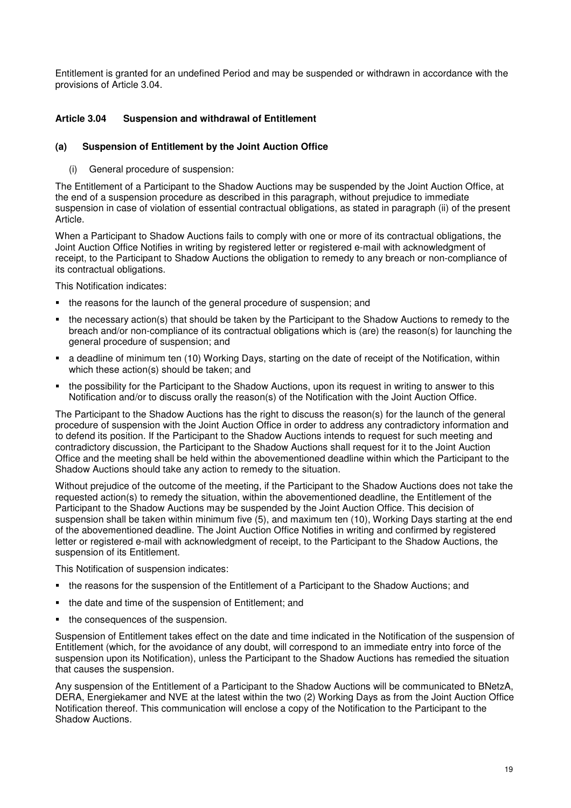Entitlement is granted for an undefined Period and may be suspended or withdrawn in accordance with the provisions of Article 3.04.

# **Article 3.04 Suspension and withdrawal of Entitlement**

### **(a) Suspension of Entitlement by the Joint Auction Office**

(i) General procedure of suspension:

The Entitlement of a Participant to the Shadow Auctions may be suspended by the Joint Auction Office, at the end of a suspension procedure as described in this paragraph, without prejudice to immediate suspension in case of violation of essential contractual obligations, as stated in paragraph (ii) of the present Article.

When a Participant to Shadow Auctions fails to comply with one or more of its contractual obligations, the Joint Auction Office Notifies in writing by registered letter or registered e-mail with acknowledgment of receipt, to the Participant to Shadow Auctions the obligation to remedy to any breach or non-compliance of its contractual obligations.

This Notification indicates:

- the reasons for the launch of the general procedure of suspension; and
- the necessary action(s) that should be taken by the Participant to the Shadow Auctions to remedy to the breach and/or non-compliance of its contractual obligations which is (are) the reason(s) for launching the general procedure of suspension; and
- a deadline of minimum ten (10) Working Days, starting on the date of receipt of the Notification, within which these action(s) should be taken; and
- the possibility for the Participant to the Shadow Auctions, upon its request in writing to answer to this Notification and/or to discuss orally the reason(s) of the Notification with the Joint Auction Office.

The Participant to the Shadow Auctions has the right to discuss the reason(s) for the launch of the general procedure of suspension with the Joint Auction Office in order to address any contradictory information and to defend its position. If the Participant to the Shadow Auctions intends to request for such meeting and contradictory discussion, the Participant to the Shadow Auctions shall request for it to the Joint Auction Office and the meeting shall be held within the abovementioned deadline within which the Participant to the Shadow Auctions should take any action to remedy to the situation.

Without prejudice of the outcome of the meeting, if the Participant to the Shadow Auctions does not take the requested action(s) to remedy the situation, within the abovementioned deadline, the Entitlement of the Participant to the Shadow Auctions may be suspended by the Joint Auction Office. This decision of suspension shall be taken within minimum five (5), and maximum ten (10), Working Days starting at the end of the abovementioned deadline. The Joint Auction Office Notifies in writing and confirmed by registered letter or registered e-mail with acknowledgment of receipt, to the Participant to the Shadow Auctions, the suspension of its Entitlement.

This Notification of suspension indicates:

- the reasons for the suspension of the Entitlement of a Participant to the Shadow Auctions; and
- the date and time of the suspension of Entitlement; and
- the consequences of the suspension.

Suspension of Entitlement takes effect on the date and time indicated in the Notification of the suspension of Entitlement (which, for the avoidance of any doubt, will correspond to an immediate entry into force of the suspension upon its Notification), unless the Participant to the Shadow Auctions has remedied the situation that causes the suspension.

Any suspension of the Entitlement of a Participant to the Shadow Auctions will be communicated to BNetzA, DERA, Energiekamer and NVE at the latest within the two (2) Working Days as from the Joint Auction Office Notification thereof. This communication will enclose a copy of the Notification to the Participant to the Shadow Auctions.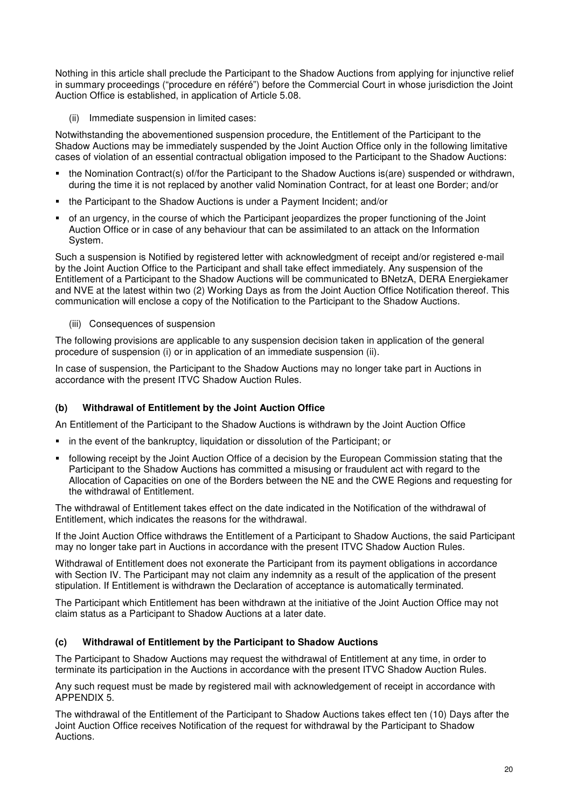Nothing in this article shall preclude the Participant to the Shadow Auctions from applying for injunctive relief in summary proceedings ("procedure en référé") before the Commercial Court in whose jurisdiction the Joint Auction Office is established, in application of Article 5.08.

(ii) Immediate suspension in limited cases:

Notwithstanding the abovementioned suspension procedure, the Entitlement of the Participant to the Shadow Auctions may be immediately suspended by the Joint Auction Office only in the following limitative cases of violation of an essential contractual obligation imposed to the Participant to the Shadow Auctions:

- the Nomination Contract(s) of/for the Participant to the Shadow Auctions is(are) suspended or withdrawn, during the time it is not replaced by another valid Nomination Contract, for at least one Border; and/or
- the Participant to the Shadow Auctions is under a Payment Incident; and/or
- of an urgency, in the course of which the Participant jeopardizes the proper functioning of the Joint Auction Office or in case of any behaviour that can be assimilated to an attack on the Information System.

Such a suspension is Notified by registered letter with acknowledgment of receipt and/or registered e-mail by the Joint Auction Office to the Participant and shall take effect immediately. Any suspension of the Entitlement of a Participant to the Shadow Auctions will be communicated to BNetzA, DERA Energiekamer and NVE at the latest within two (2) Working Days as from the Joint Auction Office Notification thereof. This communication will enclose a copy of the Notification to the Participant to the Shadow Auctions.

(iii) Consequences of suspension

The following provisions are applicable to any suspension decision taken in application of the general procedure of suspension (i) or in application of an immediate suspension (ii).

In case of suspension, the Participant to the Shadow Auctions may no longer take part in Auctions in accordance with the present ITVC Shadow Auction Rules.

### **(b) Withdrawal of Entitlement by the Joint Auction Office**

An Entitlement of the Participant to the Shadow Auctions is withdrawn by the Joint Auction Office

- in the event of the bankruptcy, liquidation or dissolution of the Participant; or
- following receipt by the Joint Auction Office of a decision by the European Commission stating that the Participant to the Shadow Auctions has committed a misusing or fraudulent act with regard to the Allocation of Capacities on one of the Borders between the NE and the CWE Regions and requesting for the withdrawal of Entitlement.

The withdrawal of Entitlement takes effect on the date indicated in the Notification of the withdrawal of Entitlement, which indicates the reasons for the withdrawal.

If the Joint Auction Office withdraws the Entitlement of a Participant to Shadow Auctions, the said Participant may no longer take part in Auctions in accordance with the present ITVC Shadow Auction Rules.

Withdrawal of Entitlement does not exonerate the Participant from its payment obligations in accordance with Section IV. The Participant may not claim any indemnity as a result of the application of the present stipulation. If Entitlement is withdrawn the Declaration of acceptance is automatically terminated.

The Participant which Entitlement has been withdrawn at the initiative of the Joint Auction Office may not claim status as a Participant to Shadow Auctions at a later date.

### **(c) Withdrawal of Entitlement by the Participant to Shadow Auctions**

The Participant to Shadow Auctions may request the withdrawal of Entitlement at any time, in order to terminate its participation in the Auctions in accordance with the present ITVC Shadow Auction Rules.

Any such request must be made by registered mail with acknowledgement of receipt in accordance with APPENDIX 5.

The withdrawal of the Entitlement of the Participant to Shadow Auctions takes effect ten (10) Days after the Joint Auction Office receives Notification of the request for withdrawal by the Participant to Shadow Auctions.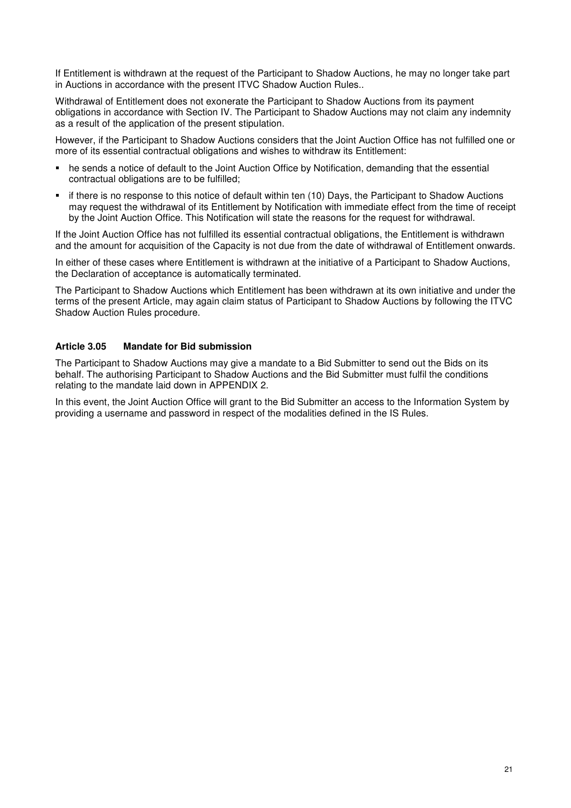If Entitlement is withdrawn at the request of the Participant to Shadow Auctions, he may no longer take part in Auctions in accordance with the present ITVC Shadow Auction Rules..

Withdrawal of Entitlement does not exonerate the Participant to Shadow Auctions from its payment obligations in accordance with Section IV. The Participant to Shadow Auctions may not claim any indemnity as a result of the application of the present stipulation.

However, if the Participant to Shadow Auctions considers that the Joint Auction Office has not fulfilled one or more of its essential contractual obligations and wishes to withdraw its Entitlement:

- he sends a notice of default to the Joint Auction Office by Notification, demanding that the essential contractual obligations are to be fulfilled;
- if there is no response to this notice of default within ten (10) Days, the Participant to Shadow Auctions may request the withdrawal of its Entitlement by Notification with immediate effect from the time of receipt by the Joint Auction Office. This Notification will state the reasons for the request for withdrawal.

If the Joint Auction Office has not fulfilled its essential contractual obligations, the Entitlement is withdrawn and the amount for acquisition of the Capacity is not due from the date of withdrawal of Entitlement onwards.

In either of these cases where Entitlement is withdrawn at the initiative of a Participant to Shadow Auctions, the Declaration of acceptance is automatically terminated.

The Participant to Shadow Auctions which Entitlement has been withdrawn at its own initiative and under the terms of the present Article, may again claim status of Participant to Shadow Auctions by following the ITVC Shadow Auction Rules procedure.

### **Article 3.05 Mandate for Bid submission**

The Participant to Shadow Auctions may give a mandate to a Bid Submitter to send out the Bids on its behalf. The authorising Participant to Shadow Auctions and the Bid Submitter must fulfil the conditions relating to the mandate laid down in APPENDIX 2.

In this event, the Joint Auction Office will grant to the Bid Submitter an access to the Information System by providing a username and password in respect of the modalities defined in the IS Rules.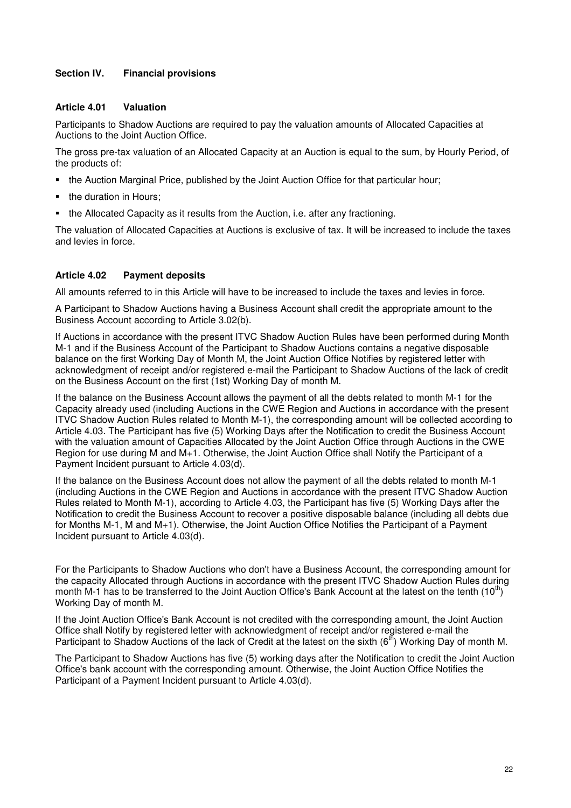# **Section IV. Financial provisions**

#### **Article 4.01 Valuation**

Participants to Shadow Auctions are required to pay the valuation amounts of Allocated Capacities at Auctions to the Joint Auction Office.

The gross pre-tax valuation of an Allocated Capacity at an Auction is equal to the sum, by Hourly Period, of the products of:

- the Auction Marginal Price, published by the Joint Auction Office for that particular hour;
- the duration in Hours:
- the Allocated Capacity as it results from the Auction, i.e. after any fractioning.

The valuation of Allocated Capacities at Auctions is exclusive of tax. It will be increased to include the taxes and levies in force.

### **Article 4.02 Payment deposits**

All amounts referred to in this Article will have to be increased to include the taxes and levies in force.

A Participant to Shadow Auctions having a Business Account shall credit the appropriate amount to the Business Account according to Article 3.02(b).

If Auctions in accordance with the present ITVC Shadow Auction Rules have been performed during Month M-1 and if the Business Account of the Participant to Shadow Auctions contains a negative disposable balance on the first Working Day of Month M, the Joint Auction Office Notifies by registered letter with acknowledgment of receipt and/or registered e-mail the Participant to Shadow Auctions of the lack of credit on the Business Account on the first (1st) Working Day of month M.

If the balance on the Business Account allows the payment of all the debts related to month M-1 for the Capacity already used (including Auctions in the CWE Region and Auctions in accordance with the present ITVC Shadow Auction Rules related to Month M-1), the corresponding amount will be collected according to Article 4.03. The Participant has five (5) Working Days after the Notification to credit the Business Account with the valuation amount of Capacities Allocated by the Joint Auction Office through Auctions in the CWE Region for use during M and M+1. Otherwise, the Joint Auction Office shall Notify the Participant of a Payment Incident pursuant to Article 4.03(d).

If the balance on the Business Account does not allow the payment of all the debts related to month M-1 (including Auctions in the CWE Region and Auctions in accordance with the present ITVC Shadow Auction Rules related to Month M-1), according to Article 4.03, the Participant has five (5) Working Days after the Notification to credit the Business Account to recover a positive disposable balance (including all debts due for Months M-1, M and M+1). Otherwise, the Joint Auction Office Notifies the Participant of a Payment Incident pursuant to Article 4.03(d).

For the Participants to Shadow Auctions who don't have a Business Account, the corresponding amount for the capacity Allocated through Auctions in accordance with the present ITVC Shadow Auction Rules during month M-1 has to be transferred to the Joint Auction Office's Bank Account at the latest on the tenth  $(10^{th})$ Working Day of month M.

If the Joint Auction Office's Bank Account is not credited with the corresponding amount, the Joint Auction Office shall Notify by registered letter with acknowledgment of receipt and/or registered e-mail the Participant to Shadow Auctions of the lack of Credit at the latest on the sixth  $(6^{th})$  Working Day of month M.

The Participant to Shadow Auctions has five (5) working days after the Notification to credit the Joint Auction Office's bank account with the corresponding amount. Otherwise, the Joint Auction Office Notifies the Participant of a Payment Incident pursuant to Article 4.03(d).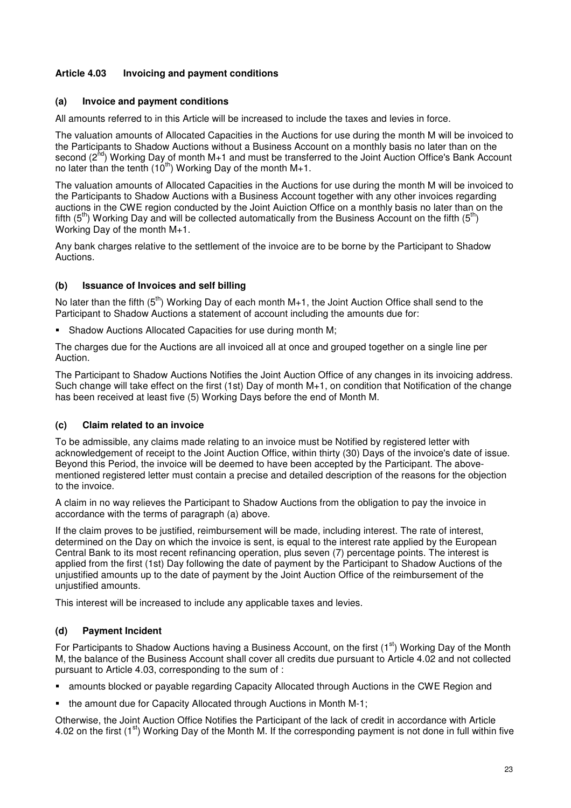# **Article 4.03 Invoicing and payment conditions**

#### **(a) Invoice and payment conditions**

All amounts referred to in this Article will be increased to include the taxes and levies in force.

The valuation amounts of Allocated Capacities in the Auctions for use during the month M will be invoiced to the Participants to Shadow Auctions without a Business Account on a monthly basis no later than on the second (2<sup>nd</sup>) Working Day of month M+1 and must be transferred to the Joint Auction Office's Bank Account no later than the tenth  $(10^{th})$  Working Day of the month M+1.

The valuation amounts of Allocated Capacities in the Auctions for use during the month M will be invoiced to the Participants to Shadow Auctions with a Business Account together with any other invoices regarding auctions in the CWE region conducted by the Joint Auiction Office on a monthly basis no later than on the fifth  $(5<sup>th</sup>)$  Working Day and will be collected automatically from the Business Account on the fifth  $(5<sup>th</sup>)$ Working Day of the month M+1.

Any bank charges relative to the settlement of the invoice are to be borne by the Participant to Shadow Auctions.

#### **(b) Issuance of Invoices and self billing**

No later than the fifth  $(5<sup>th</sup>)$  Working Day of each month M+1, the Joint Auction Office shall send to the Participant to Shadow Auctions a statement of account including the amounts due for:

**Shadow Auctions Allocated Capacities for use during month M;** 

The charges due for the Auctions are all invoiced all at once and grouped together on a single line per Auction.

The Participant to Shadow Auctions Notifies the Joint Auction Office of any changes in its invoicing address. Such change will take effect on the first (1st) Day of month M+1, on condition that Notification of the change has been received at least five (5) Working Days before the end of Month M.

#### **(c) Claim related to an invoice**

To be admissible, any claims made relating to an invoice must be Notified by registered letter with acknowledgement of receipt to the Joint Auction Office, within thirty (30) Days of the invoice's date of issue. Beyond this Period, the invoice will be deemed to have been accepted by the Participant. The abovementioned registered letter must contain a precise and detailed description of the reasons for the objection to the invoice.

A claim in no way relieves the Participant to Shadow Auctions from the obligation to pay the invoice in accordance with the terms of paragraph (a) above.

If the claim proves to be justified, reimbursement will be made, including interest. The rate of interest, determined on the Day on which the invoice is sent, is equal to the interest rate applied by the European Central Bank to its most recent refinancing operation, plus seven (7) percentage points. The interest is applied from the first (1st) Day following the date of payment by the Participant to Shadow Auctions of the unjustified amounts up to the date of payment by the Joint Auction Office of the reimbursement of the unjustified amounts.

This interest will be increased to include any applicable taxes and levies.

### **(d) Payment Incident**

For Participants to Shadow Auctions having a Business Account, on the first  $(1<sup>st</sup>)$  Working Day of the Month M, the balance of the Business Account shall cover all credits due pursuant to Article 4.02 and not collected pursuant to Article 4.03, corresponding to the sum of :

- amounts blocked or payable regarding Capacity Allocated through Auctions in the CWE Region and
- the amount due for Capacity Allocated through Auctions in Month M-1;

Otherwise, the Joint Auction Office Notifies the Participant of the lack of credit in accordance with Article 4.02 on the first  $(1^{st})$  Working Day of the Month M. If the corresponding payment is not done in full within five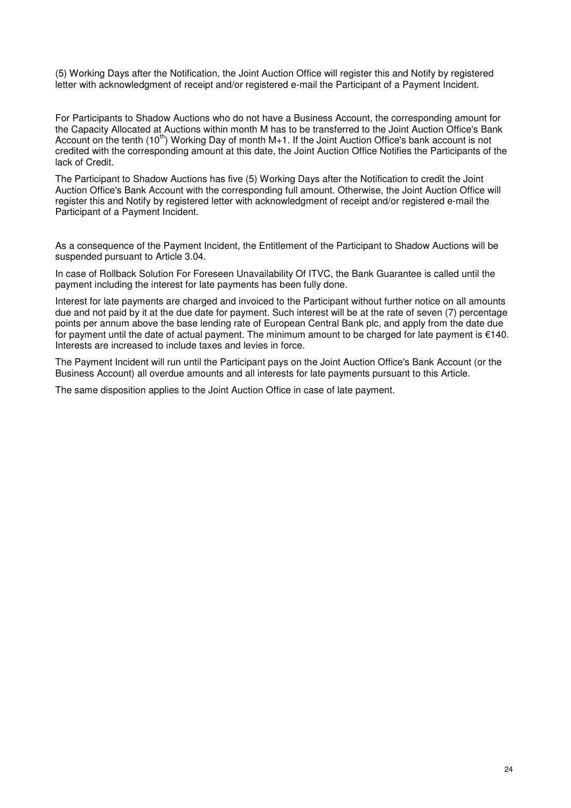(5) Working Days after the Notification, the Joint Auction Office will register this and Notify by registered letter with acknowledgment of receipt and/or registered e-mail the Participant of a Payment Incident.

For Participants to Shadow Auctions who do not have a Business Account, the corresponding amount for the Capacity Allocated at Auctions within month M has to be transferred to the Joint Auction Office's Bank Account on the tenth (10<sup>th</sup>) Working Day of month M+1. If the Joint Auction Office's bank account is not credited with the corresponding amount at this date, the Joint Auction Office Notifies the Participants of the lack of Credit.

The Participant to Shadow Auctions has five (5) Working Days after the Notification to credit the Joint Auction Office's Bank Account with the corresponding full amount. Otherwise, the Joint Auction Office will register this and Notify by registered letter with acknowledgment of receipt and/or registered e-mail the Participant of a Payment Incident.

As a consequence of the Payment Incident, the Entitlement of the Participant to Shadow Auctions will be suspended pursuant to Article 3.04.

In case of Rollback Solution For Foreseen Unavailability Of ITVC, the Bank Guarantee is called until the payment including the interest for late payments has been fully done.

Interest for late payments are charged and invoiced to the Participant without further notice on all amounts due and not paid by it at the due date for payment. Such interest will be at the rate of seven (7) percentage points per annum above the base lending rate of European Central Bank plc, and apply from the date due for payment until the date of actual payment. The minimum amount to be charged for late payment is €140. Interests are increased to include taxes and levies in force.

The Payment Incident will run until the Participant pays on the Joint Auction Office's Bank Account (or the Business Account) all overdue amounts and all interests for late payments pursuant to this Article.

The same disposition applies to the Joint Auction Office in case of late payment.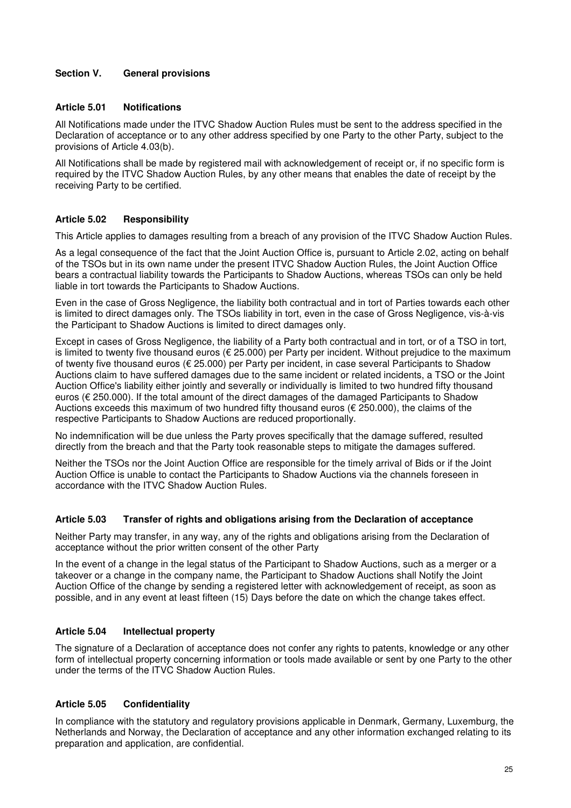# **Section V. General provisions**

#### **Article 5.01 Notifications**

All Notifications made under the ITVC Shadow Auction Rules must be sent to the address specified in the Declaration of acceptance or to any other address specified by one Party to the other Party, subject to the provisions of Article 4.03(b).

All Notifications shall be made by registered mail with acknowledgement of receipt or, if no specific form is required by the ITVC Shadow Auction Rules, by any other means that enables the date of receipt by the receiving Party to be certified.

#### **Article 5.02 Responsibility**

This Article applies to damages resulting from a breach of any provision of the ITVC Shadow Auction Rules.

As a legal consequence of the fact that the Joint Auction Office is, pursuant to Article 2.02, acting on behalf of the TSOs but in its own name under the present ITVC Shadow Auction Rules, the Joint Auction Office bears a contractual liability towards the Participants to Shadow Auctions, whereas TSOs can only be held liable in tort towards the Participants to Shadow Auctions.

Even in the case of Gross Negligence, the liability both contractual and in tort of Parties towards each other is limited to direct damages only. The TSOs liability in tort, even in the case of Gross Negligence, vis-à-vis the Participant to Shadow Auctions is limited to direct damages only.

Except in cases of Gross Negligence, the liability of a Party both contractual and in tort, or of a TSO in tort, is limited to twenty five thousand euros (€ 25.000) per Party per incident. Without prejudice to the maximum of twenty five thousand euros (€ 25.000) per Party per incident, in case several Participants to Shadow Auctions claim to have suffered damages due to the same incident or related incidents, a TSO or the Joint Auction Office's liability either jointly and severally or individually is limited to two hundred fifty thousand euros (€ 250.000). If the total amount of the direct damages of the damaged Participants to Shadow Auctions exceeds this maximum of two hundred fifty thousand euros ( $\epsilon$  250.000), the claims of the respective Participants to Shadow Auctions are reduced proportionally.

No indemnification will be due unless the Party proves specifically that the damage suffered, resulted directly from the breach and that the Party took reasonable steps to mitigate the damages suffered.

Neither the TSOs nor the Joint Auction Office are responsible for the timely arrival of Bids or if the Joint Auction Office is unable to contact the Participants to Shadow Auctions via the channels foreseen in accordance with the ITVC Shadow Auction Rules.

#### **Article 5.03 Transfer of rights and obligations arising from the Declaration of acceptance**

Neither Party may transfer, in any way, any of the rights and obligations arising from the Declaration of acceptance without the prior written consent of the other Party

In the event of a change in the legal status of the Participant to Shadow Auctions, such as a merger or a takeover or a change in the company name, the Participant to Shadow Auctions shall Notify the Joint Auction Office of the change by sending a registered letter with acknowledgement of receipt, as soon as possible, and in any event at least fifteen (15) Days before the date on which the change takes effect.

### **Article 5.04 Intellectual property**

The signature of a Declaration of acceptance does not confer any rights to patents, knowledge or any other form of intellectual property concerning information or tools made available or sent by one Party to the other under the terms of the ITVC Shadow Auction Rules.

### **Article 5.05 Confidentiality**

In compliance with the statutory and regulatory provisions applicable in Denmark, Germany, Luxemburg, the Netherlands and Norway, the Declaration of acceptance and any other information exchanged relating to its preparation and application, are confidential.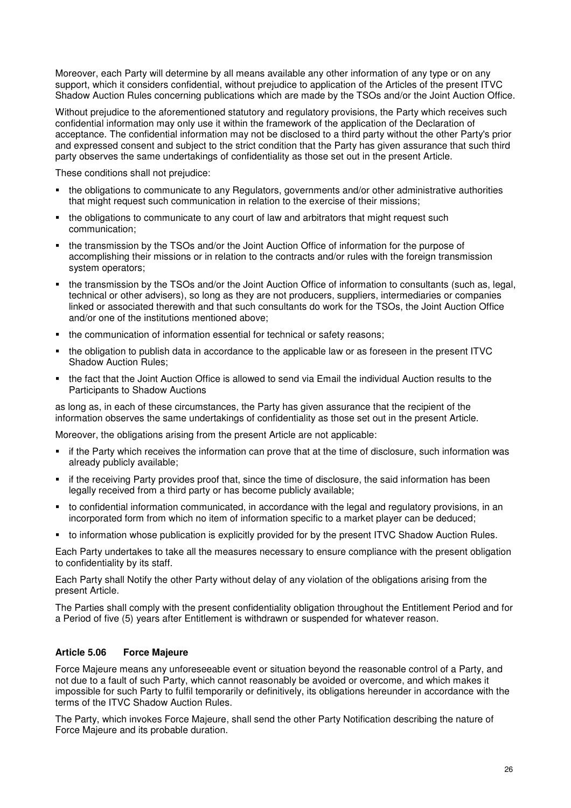Moreover, each Party will determine by all means available any other information of any type or on any support, which it considers confidential, without prejudice to application of the Articles of the present ITVC Shadow Auction Rules concerning publications which are made by the TSOs and/or the Joint Auction Office.

Without prejudice to the aforementioned statutory and regulatory provisions, the Party which receives such confidential information may only use it within the framework of the application of the Declaration of acceptance. The confidential information may not be disclosed to a third party without the other Party's prior and expressed consent and subject to the strict condition that the Party has given assurance that such third party observes the same undertakings of confidentiality as those set out in the present Article.

These conditions shall not prejudice:

- the obligations to communicate to any Regulators, governments and/or other administrative authorities that might request such communication in relation to the exercise of their missions;
- the obligations to communicate to any court of law and arbitrators that might request such communication;
- the transmission by the TSOs and/or the Joint Auction Office of information for the purpose of accomplishing their missions or in relation to the contracts and/or rules with the foreign transmission system operators;
- the transmission by the TSOs and/or the Joint Auction Office of information to consultants (such as, legal, technical or other advisers), so long as they are not producers, suppliers, intermediaries or companies linked or associated therewith and that such consultants do work for the TSOs, the Joint Auction Office and/or one of the institutions mentioned above;
- the communication of information essential for technical or safety reasons;
- the obligation to publish data in accordance to the applicable law or as foreseen in the present ITVC Shadow Auction Rules;
- the fact that the Joint Auction Office is allowed to send via Email the individual Auction results to the Participants to Shadow Auctions

as long as, in each of these circumstances, the Party has given assurance that the recipient of the information observes the same undertakings of confidentiality as those set out in the present Article.

Moreover, the obligations arising from the present Article are not applicable:

- if the Party which receives the information can prove that at the time of disclosure, such information was already publicly available;
- if the receiving Party provides proof that, since the time of disclosure, the said information has been legally received from a third party or has become publicly available;
- to confidential information communicated, in accordance with the legal and regulatory provisions, in an incorporated form from which no item of information specific to a market player can be deduced;
- to information whose publication is explicitly provided for by the present ITVC Shadow Auction Rules.

Each Party undertakes to take all the measures necessary to ensure compliance with the present obligation to confidentiality by its staff.

Each Party shall Notify the other Party without delay of any violation of the obligations arising from the present Article.

The Parties shall comply with the present confidentiality obligation throughout the Entitlement Period and for a Period of five (5) years after Entitlement is withdrawn or suspended for whatever reason.

### **Article 5.06 Force Majeure**

Force Majeure means any unforeseeable event or situation beyond the reasonable control of a Party, and not due to a fault of such Party, which cannot reasonably be avoided or overcome, and which makes it impossible for such Party to fulfil temporarily or definitively, its obligations hereunder in accordance with the terms of the ITVC Shadow Auction Rules.

The Party, which invokes Force Majeure, shall send the other Party Notification describing the nature of Force Majeure and its probable duration.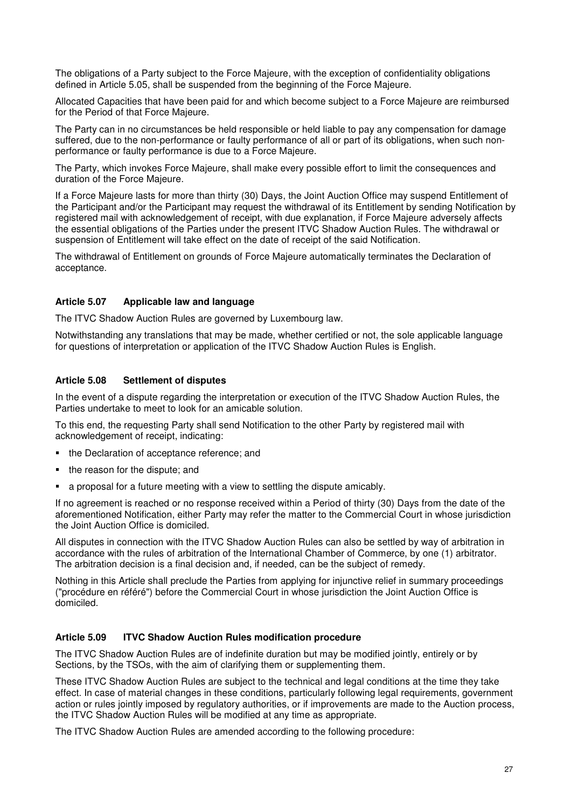The obligations of a Party subject to the Force Majeure, with the exception of confidentiality obligations defined in Article 5.05, shall be suspended from the beginning of the Force Majeure.

Allocated Capacities that have been paid for and which become subject to a Force Majeure are reimbursed for the Period of that Force Majeure.

The Party can in no circumstances be held responsible or held liable to pay any compensation for damage suffered, due to the non-performance or faulty performance of all or part of its obligations, when such nonperformance or faulty performance is due to a Force Majeure.

The Party, which invokes Force Majeure, shall make every possible effort to limit the consequences and duration of the Force Majeure.

If a Force Majeure lasts for more than thirty (30) Days, the Joint Auction Office may suspend Entitlement of the Participant and/or the Participant may request the withdrawal of its Entitlement by sending Notification by registered mail with acknowledgement of receipt, with due explanation, if Force Majeure adversely affects the essential obligations of the Parties under the present ITVC Shadow Auction Rules. The withdrawal or suspension of Entitlement will take effect on the date of receipt of the said Notification.

The withdrawal of Entitlement on grounds of Force Majeure automatically terminates the Declaration of acceptance.

#### **Article 5.07 Applicable law and language**

The ITVC Shadow Auction Rules are governed by Luxembourg law.

Notwithstanding any translations that may be made, whether certified or not, the sole applicable language for questions of interpretation or application of the ITVC Shadow Auction Rules is English.

#### **Article 5.08 Settlement of disputes**

In the event of a dispute regarding the interpretation or execution of the ITVC Shadow Auction Rules, the Parties undertake to meet to look for an amicable solution.

To this end, the requesting Party shall send Notification to the other Party by registered mail with acknowledgement of receipt, indicating:

- the Declaration of acceptance reference; and
- the reason for the dispute; and
- a proposal for a future meeting with a view to settling the dispute amicably.

If no agreement is reached or no response received within a Period of thirty (30) Days from the date of the aforementioned Notification, either Party may refer the matter to the Commercial Court in whose jurisdiction the Joint Auction Office is domiciled.

All disputes in connection with the ITVC Shadow Auction Rules can also be settled by way of arbitration in accordance with the rules of arbitration of the International Chamber of Commerce, by one (1) arbitrator. The arbitration decision is a final decision and, if needed, can be the subject of remedy.

Nothing in this Article shall preclude the Parties from applying for injunctive relief in summary proceedings ("procédure en référé") before the Commercial Court in whose jurisdiction the Joint Auction Office is domiciled.

#### **Article 5.09 ITVC Shadow Auction Rules modification procedure**

The ITVC Shadow Auction Rules are of indefinite duration but may be modified jointly, entirely or by Sections, by the TSOs, with the aim of clarifying them or supplementing them.

These ITVC Shadow Auction Rules are subject to the technical and legal conditions at the time they take effect. In case of material changes in these conditions, particularly following legal requirements, government action or rules jointly imposed by regulatory authorities, or if improvements are made to the Auction process, the ITVC Shadow Auction Rules will be modified at any time as appropriate.

The ITVC Shadow Auction Rules are amended according to the following procedure: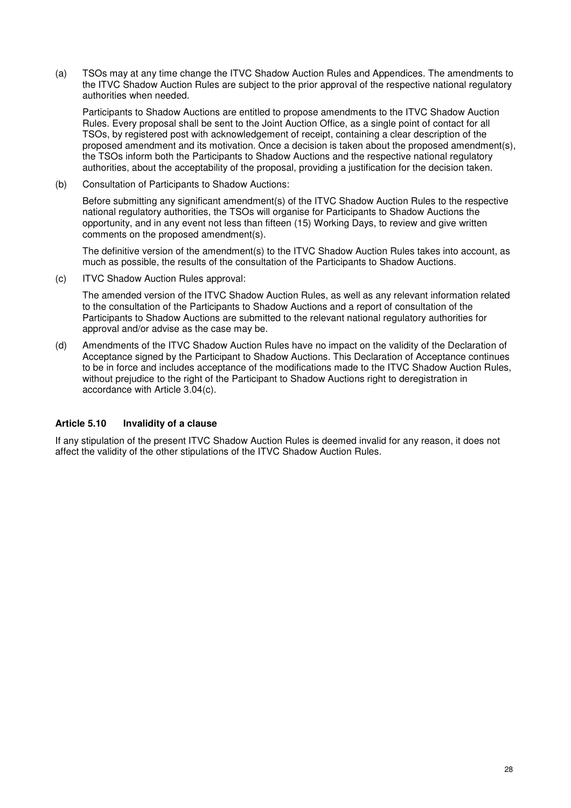(a) TSOs may at any time change the ITVC Shadow Auction Rules and Appendices. The amendments to the ITVC Shadow Auction Rules are subject to the prior approval of the respective national regulatory authorities when needed.

 Participants to Shadow Auctions are entitled to propose amendments to the ITVC Shadow Auction Rules. Every proposal shall be sent to the Joint Auction Office, as a single point of contact for all TSOs, by registered post with acknowledgement of receipt, containing a clear description of the proposed amendment and its motivation. Once a decision is taken about the proposed amendment(s), the TSOs inform both the Participants to Shadow Auctions and the respective national regulatory authorities, about the acceptability of the proposal, providing a justification for the decision taken.

(b) Consultation of Participants to Shadow Auctions:

 Before submitting any significant amendment(s) of the ITVC Shadow Auction Rules to the respective national regulatory authorities, the TSOs will organise for Participants to Shadow Auctions the opportunity, and in any event not less than fifteen (15) Working Days, to review and give written comments on the proposed amendment(s).

 The definitive version of the amendment(s) to the ITVC Shadow Auction Rules takes into account, as much as possible, the results of the consultation of the Participants to Shadow Auctions.

(c) ITVC Shadow Auction Rules approval:

 The amended version of the ITVC Shadow Auction Rules, as well as any relevant information related to the consultation of the Participants to Shadow Auctions and a report of consultation of the Participants to Shadow Auctions are submitted to the relevant national regulatory authorities for approval and/or advise as the case may be.

(d) Amendments of the ITVC Shadow Auction Rules have no impact on the validity of the Declaration of Acceptance signed by the Participant to Shadow Auctions. This Declaration of Acceptance continues to be in force and includes acceptance of the modifications made to the ITVC Shadow Auction Rules, without prejudice to the right of the Participant to Shadow Auctions right to deregistration in accordance with Article 3.04(c).

### **Article 5.10 Invalidity of a clause**

If any stipulation of the present ITVC Shadow Auction Rules is deemed invalid for any reason, it does not affect the validity of the other stipulations of the ITVC Shadow Auction Rules.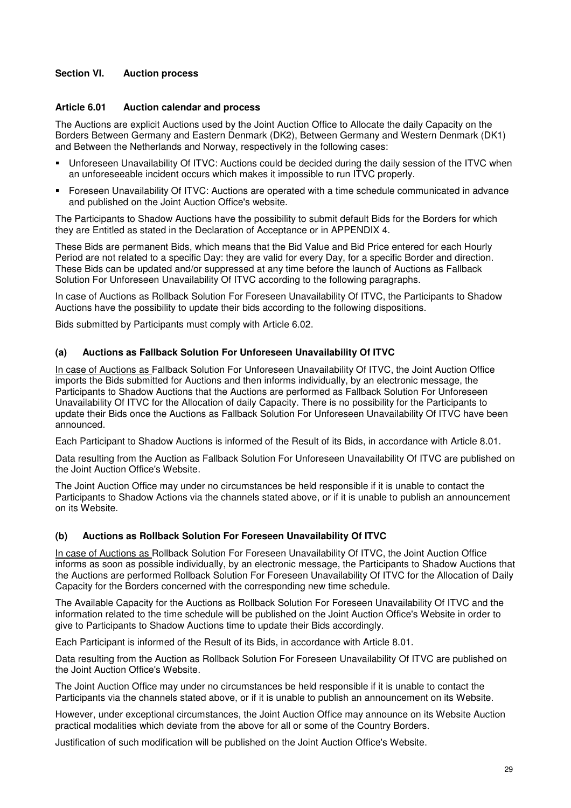# **Section VI. Auction process**

#### **Article 6.01 Auction calendar and process**

The Auctions are explicit Auctions used by the Joint Auction Office to Allocate the daily Capacity on the Borders Between Germany and Eastern Denmark (DK2), Between Germany and Western Denmark (DK1) and Between the Netherlands and Norway, respectively in the following cases:

- Unforeseen Unavailability Of ITVC: Auctions could be decided during the daily session of the ITVC when an unforeseeable incident occurs which makes it impossible to run ITVC properly.
- Foreseen Unavailability Of ITVC: Auctions are operated with a time schedule communicated in advance and published on the Joint Auction Office's website.

The Participants to Shadow Auctions have the possibility to submit default Bids for the Borders for which they are Entitled as stated in the Declaration of Acceptance or in APPENDIX 4.

These Bids are permanent Bids, which means that the Bid Value and Bid Price entered for each Hourly Period are not related to a specific Day: they are valid for every Day, for a specific Border and direction. These Bids can be updated and/or suppressed at any time before the launch of Auctions as Fallback Solution For Unforeseen Unavailability Of ITVC according to the following paragraphs.

In case of Auctions as Rollback Solution For Foreseen Unavailability Of ITVC, the Participants to Shadow Auctions have the possibility to update their bids according to the following dispositions.

Bids submitted by Participants must comply with Article 6.02.

#### **(a) Auctions as Fallback Solution For Unforeseen Unavailability Of ITVC**

In case of Auctions as Fallback Solution For Unforeseen Unavailability Of ITVC, the Joint Auction Office imports the Bids submitted for Auctions and then informs individually, by an electronic message, the Participants to Shadow Auctions that the Auctions are performed as Fallback Solution For Unforeseen Unavailability Of ITVC for the Allocation of daily Capacity. There is no possibility for the Participants to update their Bids once the Auctions as Fallback Solution For Unforeseen Unavailability Of ITVC have been announced.

Each Participant to Shadow Auctions is informed of the Result of its Bids, in accordance with Article 8.01.

Data resulting from the Auction as Fallback Solution For Unforeseen Unavailability Of ITVC are published on the Joint Auction Office's Website.

The Joint Auction Office may under no circumstances be held responsible if it is unable to contact the Participants to Shadow Actions via the channels stated above, or if it is unable to publish an announcement on its Website.

#### **(b) Auctions as Rollback Solution For Foreseen Unavailability Of ITVC**

In case of Auctions as Rollback Solution For Foreseen Unavailability Of ITVC, the Joint Auction Office informs as soon as possible individually, by an electronic message, the Participants to Shadow Auctions that the Auctions are performed Rollback Solution For Foreseen Unavailability Of ITVC for the Allocation of Daily Capacity for the Borders concerned with the corresponding new time schedule.

The Available Capacity for the Auctions as Rollback Solution For Foreseen Unavailability Of ITVC and the information related to the time schedule will be published on the Joint Auction Office's Website in order to give to Participants to Shadow Auctions time to update their Bids accordingly.

Each Participant is informed of the Result of its Bids, in accordance with Article 8.01.

Data resulting from the Auction as Rollback Solution For Foreseen Unavailability Of ITVC are published on the Joint Auction Office's Website.

The Joint Auction Office may under no circumstances be held responsible if it is unable to contact the Participants via the channels stated above, or if it is unable to publish an announcement on its Website.

However, under exceptional circumstances, the Joint Auction Office may announce on its Website Auction practical modalities which deviate from the above for all or some of the Country Borders.

Justification of such modification will be published on the Joint Auction Office's Website.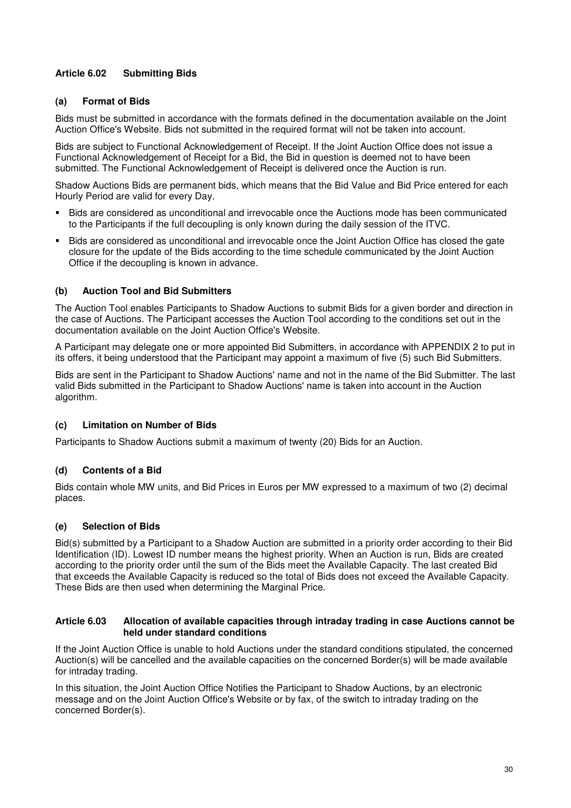# **Article 6.02 Submitting Bids**

### **(a) Format of Bids**

Bids must be submitted in accordance with the formats defined in the documentation available on the Joint Auction Office's Website. Bids not submitted in the required format will not be taken into account.

Bids are subject to Functional Acknowledgement of Receipt. If the Joint Auction Office does not issue a Functional Acknowledgement of Receipt for a Bid, the Bid in question is deemed not to have been submitted. The Functional Acknowledgement of Receipt is delivered once the Auction is run.

Shadow Auctions Bids are permanent bids, which means that the Bid Value and Bid Price entered for each Hourly Period are valid for every Day.

- Bids are considered as unconditional and irrevocable once the Auctions mode has been communicated to the Participants if the full decoupling is only known during the daily session of the ITVC.
- Bids are considered as unconditional and irrevocable once the Joint Auction Office has closed the gate closure for the update of the Bids according to the time schedule communicated by the Joint Auction Office if the decoupling is known in advance.

#### **(b) Auction Tool and Bid Submitters**

The Auction Tool enables Participants to Shadow Auctions to submit Bids for a given border and direction in the case of Auctions. The Participant accesses the Auction Tool according to the conditions set out in the documentation available on the Joint Auction Office's Website.

A Participant may delegate one or more appointed Bid Submitters, in accordance with APPENDIX 2 to put in its offers, it being understood that the Participant may appoint a maximum of five (5) such Bid Submitters.

Bids are sent in the Participant to Shadow Auctions' name and not in the name of the Bid Submitter. The last valid Bids submitted in the Participant to Shadow Auctions' name is taken into account in the Auction algorithm.

### **(c) Limitation on Number of Bids**

Participants to Shadow Auctions submit a maximum of twenty (20) Bids for an Auction.

### **(d) Contents of a Bid**

Bids contain whole MW units, and Bid Prices in Euros per MW expressed to a maximum of two (2) decimal places.

#### **(e) Selection of Bids**

Bid(s) submitted by a Participant to a Shadow Auction are submitted in a priority order according to their Bid Identification (ID). Lowest ID number means the highest priority. When an Auction is run, Bids are created according to the priority order until the sum of the Bids meet the Available Capacity. The last created Bid that exceeds the Available Capacity is reduced so the total of Bids does not exceed the Available Capacity. These Bids are then used when determining the Marginal Price.

#### **Article 6.03 Allocation of available capacities through intraday trading in case Auctions cannot be held under standard conditions**

If the Joint Auction Office is unable to hold Auctions under the standard conditions stipulated, the concerned Auction(s) will be cancelled and the available capacities on the concerned Border(s) will be made available for intraday trading.

In this situation, the Joint Auction Office Notifies the Participant to Shadow Auctions, by an electronic message and on the Joint Auction Office's Website or by fax, of the switch to intraday trading on the concerned Border(s).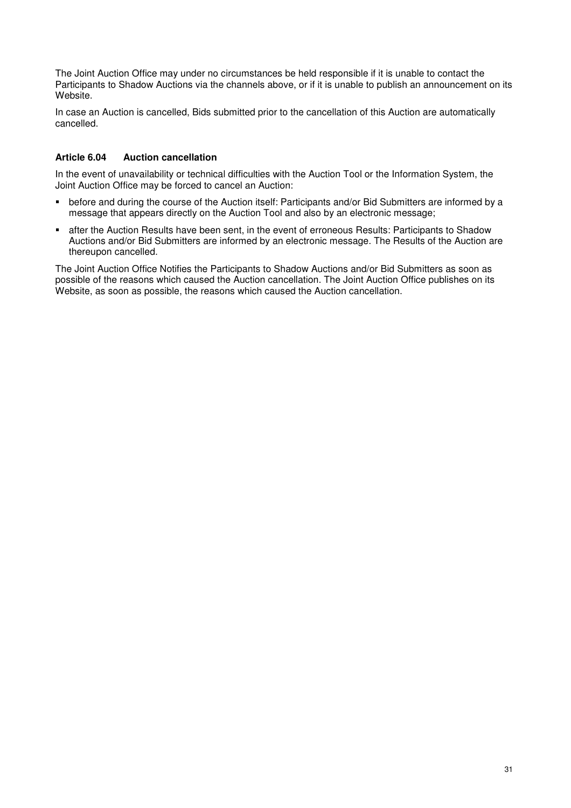The Joint Auction Office may under no circumstances be held responsible if it is unable to contact the Participants to Shadow Auctions via the channels above, or if it is unable to publish an announcement on its Website.

In case an Auction is cancelled, Bids submitted prior to the cancellation of this Auction are automatically cancelled.

# **Article 6.04 Auction cancellation**

In the event of unavailability or technical difficulties with the Auction Tool or the Information System, the Joint Auction Office may be forced to cancel an Auction:

- before and during the course of the Auction itself: Participants and/or Bid Submitters are informed by a message that appears directly on the Auction Tool and also by an electronic message;
- after the Auction Results have been sent, in the event of erroneous Results: Participants to Shadow Auctions and/or Bid Submitters are informed by an electronic message. The Results of the Auction are thereupon cancelled.

The Joint Auction Office Notifies the Participants to Shadow Auctions and/or Bid Submitters as soon as possible of the reasons which caused the Auction cancellation. The Joint Auction Office publishes on its Website, as soon as possible, the reasons which caused the Auction cancellation.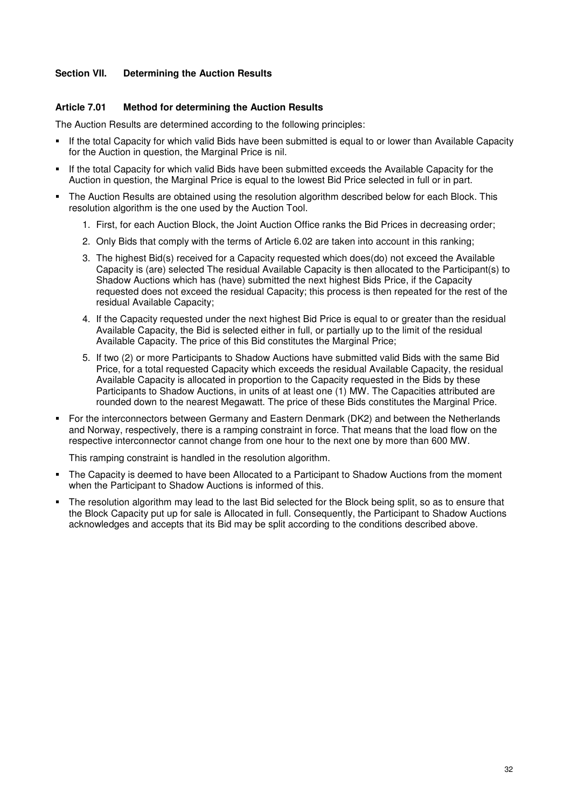### **Section VII. Determining the Auction Results**

#### **Article 7.01 Method for determining the Auction Results**

The Auction Results are determined according to the following principles:

- If the total Capacity for which valid Bids have been submitted is equal to or lower than Available Capacity for the Auction in question, the Marginal Price is nil.
- If the total Capacity for which valid Bids have been submitted exceeds the Available Capacity for the Auction in question, the Marginal Price is equal to the lowest Bid Price selected in full or in part.
- The Auction Results are obtained using the resolution algorithm described below for each Block. This resolution algorithm is the one used by the Auction Tool.
	- 1. First, for each Auction Block, the Joint Auction Office ranks the Bid Prices in decreasing order;
	- 2. Only Bids that comply with the terms of Article 6.02 are taken into account in this ranking;
	- 3. The highest Bid(s) received for a Capacity requested which does(do) not exceed the Available Capacity is (are) selected The residual Available Capacity is then allocated to the Participant(s) to Shadow Auctions which has (have) submitted the next highest Bids Price, if the Capacity requested does not exceed the residual Capacity; this process is then repeated for the rest of the residual Available Capacity;
	- 4. If the Capacity requested under the next highest Bid Price is equal to or greater than the residual Available Capacity, the Bid is selected either in full, or partially up to the limit of the residual Available Capacity. The price of this Bid constitutes the Marginal Price;
	- 5. If two (2) or more Participants to Shadow Auctions have submitted valid Bids with the same Bid Price, for a total requested Capacity which exceeds the residual Available Capacity, the residual Available Capacity is allocated in proportion to the Capacity requested in the Bids by these Participants to Shadow Auctions, in units of at least one (1) MW. The Capacities attributed are rounded down to the nearest Megawatt. The price of these Bids constitutes the Marginal Price.
- For the interconnectors between Germany and Eastern Denmark (DK2) and between the Netherlands and Norway, respectively, there is a ramping constraint in force. That means that the load flow on the respective interconnector cannot change from one hour to the next one by more than 600 MW.

This ramping constraint is handled in the resolution algorithm.

- The Capacity is deemed to have been Allocated to a Participant to Shadow Auctions from the moment when the Participant to Shadow Auctions is informed of this.
- The resolution algorithm may lead to the last Bid selected for the Block being split, so as to ensure that the Block Capacity put up for sale is Allocated in full. Consequently, the Participant to Shadow Auctions acknowledges and accepts that its Bid may be split according to the conditions described above.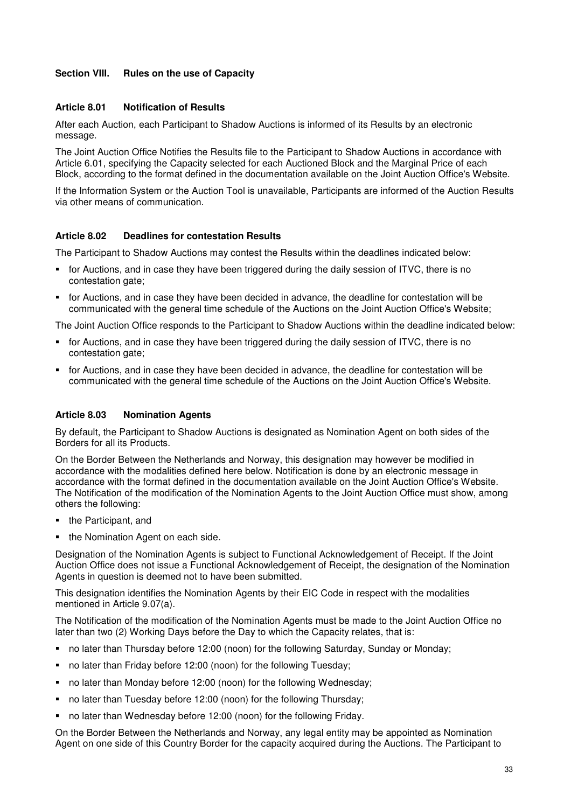# **Section VIII. Rules on the use of Capacity**

### **Article 8.01 Notification of Results**

After each Auction, each Participant to Shadow Auctions is informed of its Results by an electronic message.

The Joint Auction Office Notifies the Results file to the Participant to Shadow Auctions in accordance with Article 6.01, specifying the Capacity selected for each Auctioned Block and the Marginal Price of each Block, according to the format defined in the documentation available on the Joint Auction Office's Website.

If the Information System or the Auction Tool is unavailable, Participants are informed of the Auction Results via other means of communication.

### **Article 8.02 Deadlines for contestation Results**

The Participant to Shadow Auctions may contest the Results within the deadlines indicated below:

- for Auctions, and in case they have been triggered during the daily session of ITVC, there is no contestation gate;
- for Auctions, and in case they have been decided in advance, the deadline for contestation will be communicated with the general time schedule of the Auctions on the Joint Auction Office's Website;

The Joint Auction Office responds to the Participant to Shadow Auctions within the deadline indicated below:

- for Auctions, and in case they have been triggered during the daily session of ITVC, there is no contestation gate;
- for Auctions, and in case they have been decided in advance, the deadline for contestation will be communicated with the general time schedule of the Auctions on the Joint Auction Office's Website.

### **Article 8.03 Nomination Agents**

By default, the Participant to Shadow Auctions is designated as Nomination Agent on both sides of the Borders for all its Products.

On the Border Between the Netherlands and Norway, this designation may however be modified in accordance with the modalities defined here below. Notification is done by an electronic message in accordance with the format defined in the documentation available on the Joint Auction Office's Website. The Notification of the modification of the Nomination Agents to the Joint Auction Office must show, among others the following:

- the Participant, and
- the Nomination Agent on each side.

Designation of the Nomination Agents is subject to Functional Acknowledgement of Receipt. If the Joint Auction Office does not issue a Functional Acknowledgement of Receipt, the designation of the Nomination Agents in question is deemed not to have been submitted.

This designation identifies the Nomination Agents by their EIC Code in respect with the modalities mentioned in Article 9.07(a).

The Notification of the modification of the Nomination Agents must be made to the Joint Auction Office no later than two (2) Working Days before the Day to which the Capacity relates, that is:

- no later than Thursday before 12:00 (noon) for the following Saturday, Sunday or Monday;
- no later than Friday before 12:00 (noon) for the following Tuesday;
- no later than Monday before 12:00 (noon) for the following Wednesday;
- no later than Tuesday before 12:00 (noon) for the following Thursday:
- no later than Wednesday before 12:00 (noon) for the following Friday.

On the Border Between the Netherlands and Norway, any legal entity may be appointed as Nomination Agent on one side of this Country Border for the capacity acquired during the Auctions. The Participant to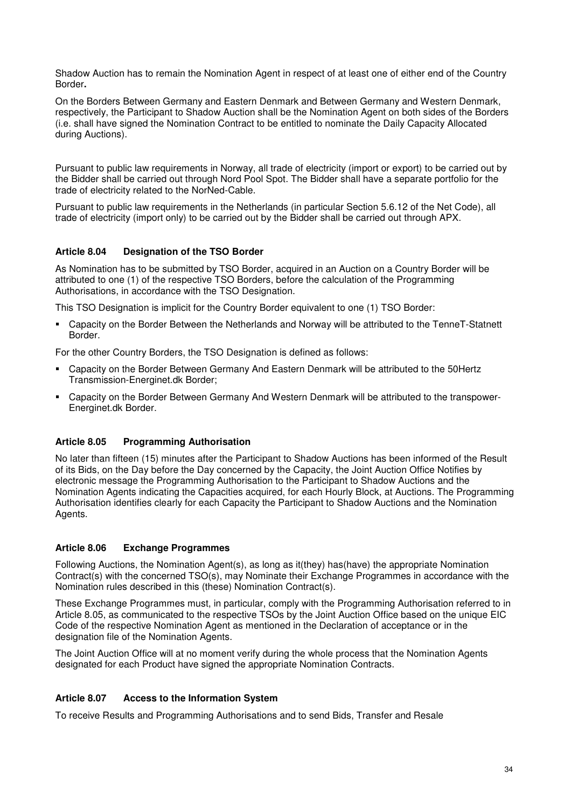Shadow Auction has to remain the Nomination Agent in respect of at least one of either end of the Country Border**.** 

On the Borders Between Germany and Eastern Denmark and Between Germany and Western Denmark, respectively, the Participant to Shadow Auction shall be the Nomination Agent on both sides of the Borders (i.e. shall have signed the Nomination Contract to be entitled to nominate the Daily Capacity Allocated during Auctions).

Pursuant to public law requirements in Norway, all trade of electricity (import or export) to be carried out by the Bidder shall be carried out through Nord Pool Spot. The Bidder shall have a separate portfolio for the trade of electricity related to the NorNed-Cable.

Pursuant to public law requirements in the Netherlands (in particular Section 5.6.12 of the Net Code), all trade of electricity (import only) to be carried out by the Bidder shall be carried out through APX.

# **Article 8.04 Designation of the TSO Border**

As Nomination has to be submitted by TSO Border, acquired in an Auction on a Country Border will be attributed to one (1) of the respective TSO Borders, before the calculation of the Programming Authorisations, in accordance with the TSO Designation.

This TSO Designation is implicit for the Country Border equivalent to one (1) TSO Border:

 Capacity on the Border Between the Netherlands and Norway will be attributed to the TenneT-Statnett Border.

For the other Country Borders, the TSO Designation is defined as follows:

- Capacity on the Border Between Germany And Eastern Denmark will be attributed to the 50Hertz Transmission-Energinet.dk Border;
- Capacity on the Border Between Germany And Western Denmark will be attributed to the transpower-Energinet.dk Border.

### **Article 8.05 Programming Authorisation**

No later than fifteen (15) minutes after the Participant to Shadow Auctions has been informed of the Result of its Bids, on the Day before the Day concerned by the Capacity, the Joint Auction Office Notifies by electronic message the Programming Authorisation to the Participant to Shadow Auctions and the Nomination Agents indicating the Capacities acquired, for each Hourly Block, at Auctions. The Programming Authorisation identifies clearly for each Capacity the Participant to Shadow Auctions and the Nomination Agents.

### **Article 8.06 Exchange Programmes**

Following Auctions, the Nomination Agent(s), as long as it(they) has(have) the appropriate Nomination Contract(s) with the concerned TSO(s), may Nominate their Exchange Programmes in accordance with the Nomination rules described in this (these) Nomination Contract(s).

These Exchange Programmes must, in particular, comply with the Programming Authorisation referred to in Article 8.05, as communicated to the respective TSOs by the Joint Auction Office based on the unique EIC Code of the respective Nomination Agent as mentioned in the Declaration of acceptance or in the designation file of the Nomination Agents.

The Joint Auction Office will at no moment verify during the whole process that the Nomination Agents designated for each Product have signed the appropriate Nomination Contracts.

### **Article 8.07 Access to the Information System**

To receive Results and Programming Authorisations and to send Bids, Transfer and Resale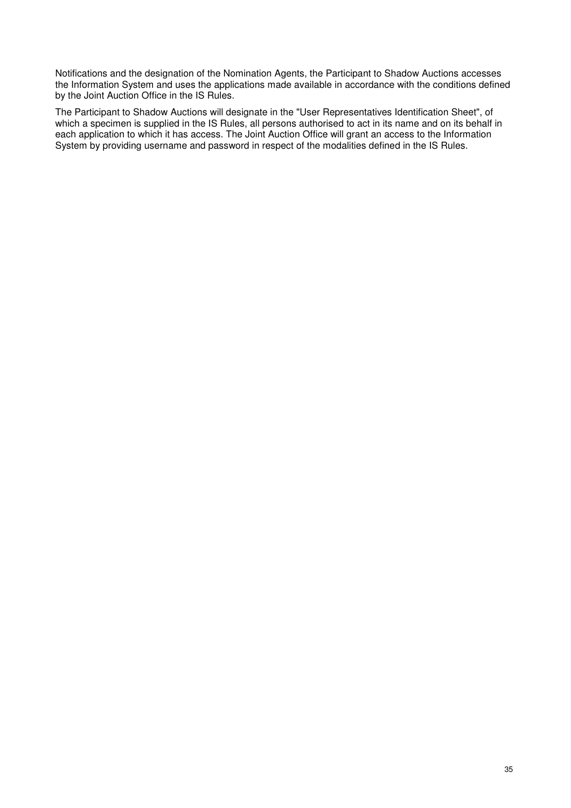Notifications and the designation of the Nomination Agents, the Participant to Shadow Auctions accesses the Information System and uses the applications made available in accordance with the conditions defined by the Joint Auction Office in the IS Rules.

The Participant to Shadow Auctions will designate in the "User Representatives Identification Sheet", of which a specimen is supplied in the IS Rules, all persons authorised to act in its name and on its behalf in each application to which it has access. The Joint Auction Office will grant an access to the Information System by providing username and password in respect of the modalities defined in the IS Rules.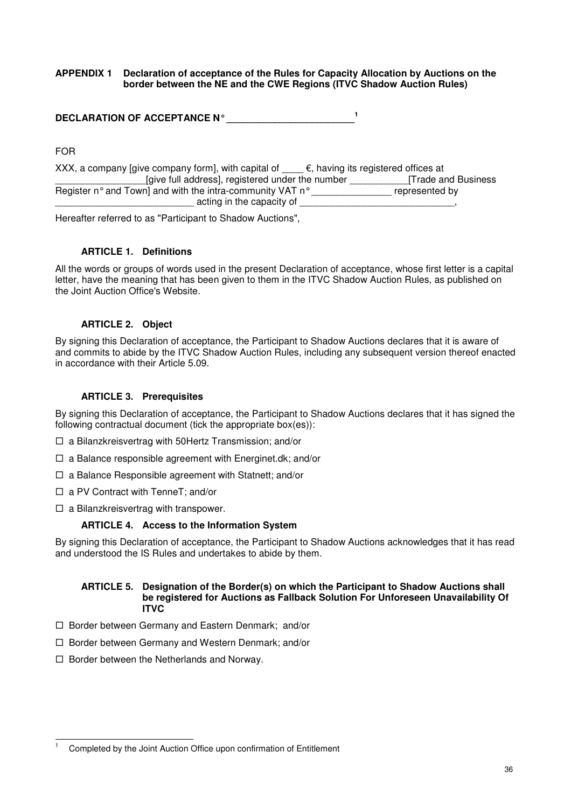#### **APPENDIX 1 Declaration of acceptance of the Rules for Capacity Allocation by Auctions on the border between the NE and the CWE Regions (ITVC Shadow Auction Rules)**

| <b>DECLARATION OF ACCEPTANCE N°</b> |
|-------------------------------------|
|-------------------------------------|

FOR

| XXX, a company [give company form], with capital of       | $\epsilon$ , having its registered offices at |
|-----------------------------------------------------------|-----------------------------------------------|
| [give full address], registered under the number          | <b>Trade and Business</b>                     |
| Register n° and Town] and with the intra-community VAT n° | represented by                                |
| acting in the capacity of                                 |                                               |

Hereafter referred to as "Participant to Shadow Auctions",

### **ARTICLE 1. Definitions**

All the words or groups of words used in the present Declaration of acceptance, whose first letter is a capital letter, have the meaning that has been given to them in the ITVC Shadow Auction Rules, as published on the Joint Auction Office's Website.

### **ARTICLE 2. Object**

By signing this Declaration of acceptance, the Participant to Shadow Auctions declares that it is aware of and commits to abide by the ITVC Shadow Auction Rules, including any subsequent version thereof enacted in accordance with their Article 5.09.

# **ARTICLE 3. Prerequisites**

By signing this Declaration of acceptance, the Participant to Shadow Auctions declares that it has signed the following contractual document (tick the appropriate box(es)):

- □ a Bilanzkreisvertrag with 50Hertz Transmission; and/or
- □ a Balance responsible agreement with Energinet.dk; and/or
- □ a Balance Responsible agreement with Statnett; and/or
- □ a PV Contract with TenneT; and/or
- □ a Bilanzkreisvertrag with transpower.

### **ARTICLE 4. Access to the Information System**

By signing this Declaration of acceptance, the Participant to Shadow Auctions acknowledges that it has read and understood the IS Rules and undertakes to abide by them.

#### **ARTICLE 5. Designation of the Border(s) on which the Participant to Shadow Auctions shall be registered for Auctions as Fallback Solution For Unforeseen Unavailability Of ITVC**

- □ Border between Germany and Eastern Denmark; and/or
- □ Border between Germany and Western Denmark; and/or
- □ Border between the Netherlands and Norway.

 $\overline{a}$ 1 Completed by the Joint Auction Office upon confirmation of Entitlement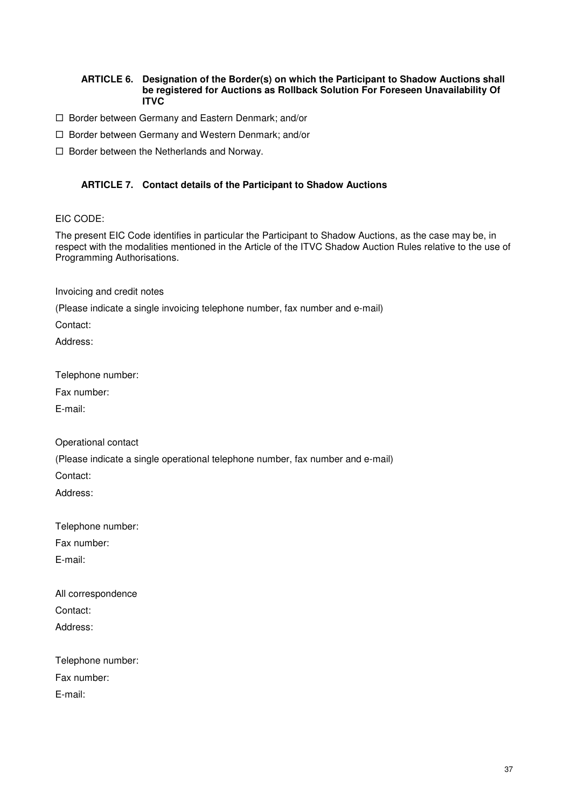#### **ARTICLE 6. Designation of the Border(s) on which the Participant to Shadow Auctions shall be registered for Auctions as Rollback Solution For Foreseen Unavailability Of ITVC**

- □ Border between Germany and Eastern Denmark; and/or
- □ Border between Germany and Western Denmark; and/or

□ Border between the Netherlands and Norway.

### **ARTICLE 7. Contact details of the Participant to Shadow Auctions**

#### EIC CODE:

The present EIC Code identifies in particular the Participant to Shadow Auctions, as the case may be, in respect with the modalities mentioned in the Article of the ITVC Shadow Auction Rules relative to the use of Programming Authorisations.

Invoicing and credit notes

(Please indicate a single invoicing telephone number, fax number and e-mail)

Contact:

Address:

Telephone number:

Fax number:

E-mail:

Operational contact

(Please indicate a single operational telephone number, fax number and e-mail)

Contact:

Address:

Telephone number:

Fax number:

E-mail:

All correspondence Contact: Address:

Telephone number: Fax number:

E-mail: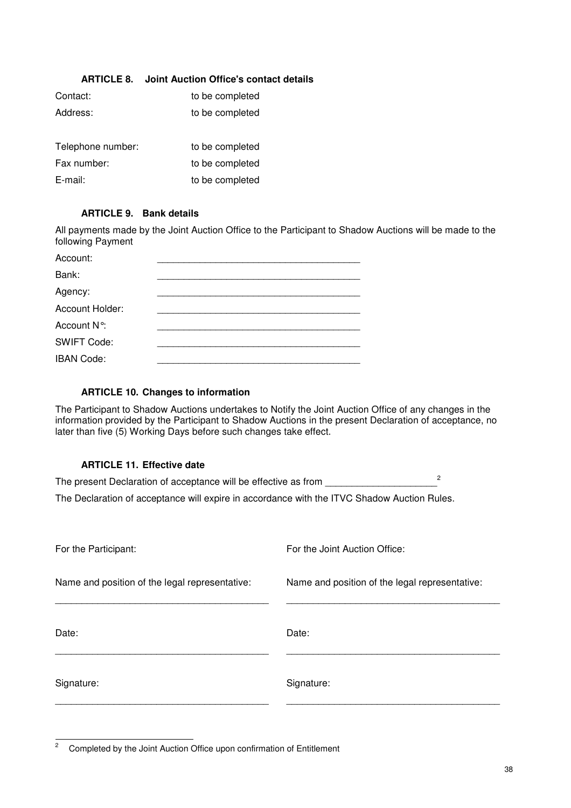| <b>ARTICLE 8.</b> | Joint Auction Office's contact details |
|-------------------|----------------------------------------|
| Contact:          | to be completed                        |
| Address:          | to be completed                        |
|                   |                                        |
| Telephone number: | to be completed                        |
| Fax number:       | to be completed                        |
| $E$ -mail:        | to be completed                        |
|                   |                                        |

# **ARTICLE 9. Bank details**

All payments made by the Joint Auction Office to the Participant to Shadow Auctions will be made to the following Payment

| Account:           |  |
|--------------------|--|
| Bank:              |  |
| Agency:            |  |
| Account Holder:    |  |
| Account N°:        |  |
| <b>SWIFT Code:</b> |  |
| <b>IBAN Code:</b>  |  |

### **ARTICLE 10. Changes to information**

The Participant to Shadow Auctions undertakes to Notify the Joint Auction Office of any changes in the information provided by the Participant to Shadow Auctions in the present Declaration of acceptance, no later than five (5) Working Days before such changes take effect.

### **ARTICLE 11. Effective date**

| The present Declaration of acceptance will be effective as from                             |  |
|---------------------------------------------------------------------------------------------|--|
| The Declaration of acceptance will expire in accordance with the ITVC Shadow Auction Rules. |  |

| For the Participant:                           | For the Joint Auction Office:                  |
|------------------------------------------------|------------------------------------------------|
| Name and position of the legal representative: | Name and position of the legal representative: |
| Date:                                          | Date:                                          |
| Signature:                                     | Signature:                                     |

 $\sqrt{2}$ <sup>2</sup>Completed by the Joint Auction Office upon confirmation of Entitlement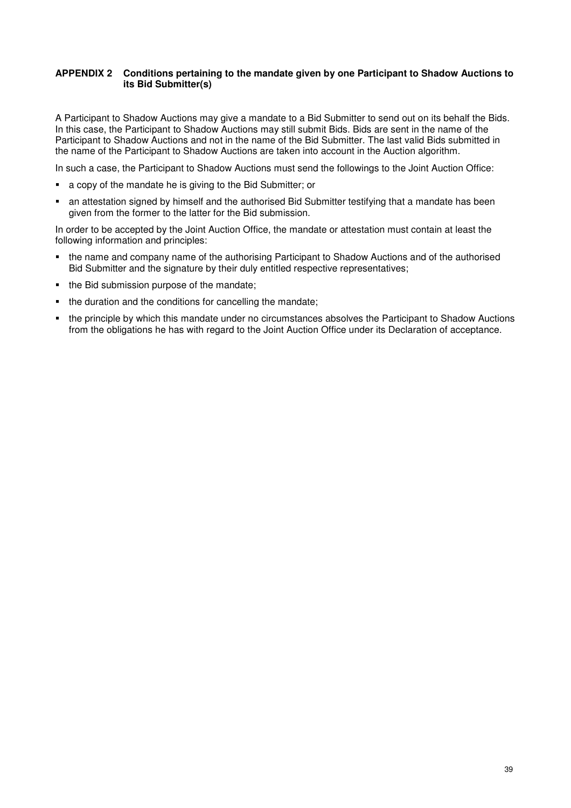#### **APPENDIX 2 Conditions pertaining to the mandate given by one Participant to Shadow Auctions to its Bid Submitter(s)**

A Participant to Shadow Auctions may give a mandate to a Bid Submitter to send out on its behalf the Bids. In this case, the Participant to Shadow Auctions may still submit Bids. Bids are sent in the name of the Participant to Shadow Auctions and not in the name of the Bid Submitter. The last valid Bids submitted in the name of the Participant to Shadow Auctions are taken into account in the Auction algorithm.

In such a case, the Participant to Shadow Auctions must send the followings to the Joint Auction Office:

- a copy of the mandate he is giving to the Bid Submitter; or
- an attestation signed by himself and the authorised Bid Submitter testifying that a mandate has been given from the former to the latter for the Bid submission.

In order to be accepted by the Joint Auction Office, the mandate or attestation must contain at least the following information and principles:

- the name and company name of the authorising Participant to Shadow Auctions and of the authorised Bid Submitter and the signature by their duly entitled respective representatives;
- the Bid submission purpose of the mandate;
- the duration and the conditions for cancelling the mandate;
- the principle by which this mandate under no circumstances absolves the Participant to Shadow Auctions from the obligations he has with regard to the Joint Auction Office under its Declaration of acceptance.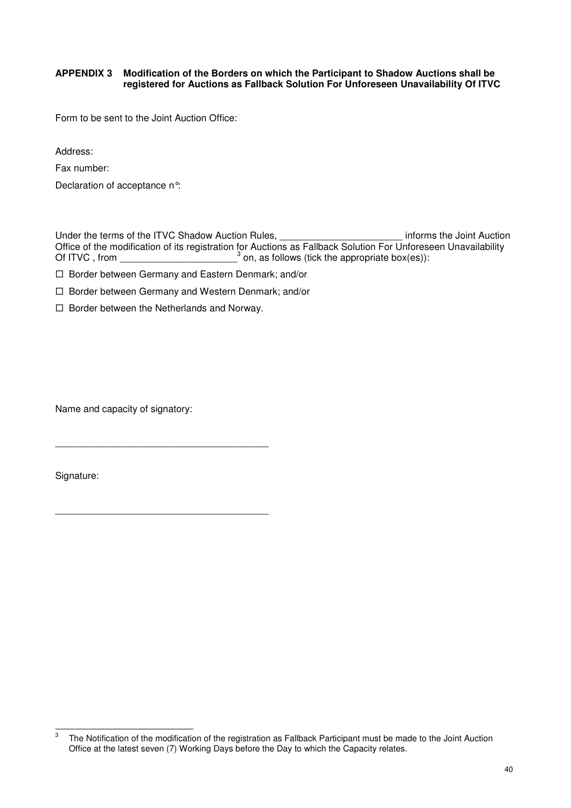#### **APPENDIX 3 Modification of the Borders on which the Participant to Shadow Auctions shall be registered for Auctions as Fallback Solution For Unforeseen Unavailability Of ITVC**

Form to be sent to the Joint Auction Office:

Address:

Fax number:

Declaration of acceptance n°:

Under the terms of the ITVC Shadow Auction Rules, example 20 and the Voint Auction Informs the Joint Auction Office of the modification of its registration for Auctions as Fallback Solution For Unforeseen Unavailability Of ITVC, from  $\frac{3}{3}$  on, as follows (tick the appropriate box(es)):

□ Border between Germany and Eastern Denmark; and/or

□ Border between Germany and Western Denmark; and/or

□ Border between the Netherlands and Norway.

Name and capacity of signatory:

Signature:

\_\_\_\_\_\_\_\_\_\_\_\_\_\_\_\_\_\_\_\_\_\_\_\_\_\_\_\_\_\_\_\_\_\_\_\_\_\_\_\_

\_\_\_\_\_\_\_\_\_\_\_\_\_\_\_\_\_\_\_\_\_\_\_\_\_\_\_\_\_\_\_\_\_\_\_\_\_\_\_\_

 3 The Notification of the modification of the registration as Fallback Participant must be made to the Joint Auction Office at the latest seven (7) Working Days before the Day to which the Capacity relates.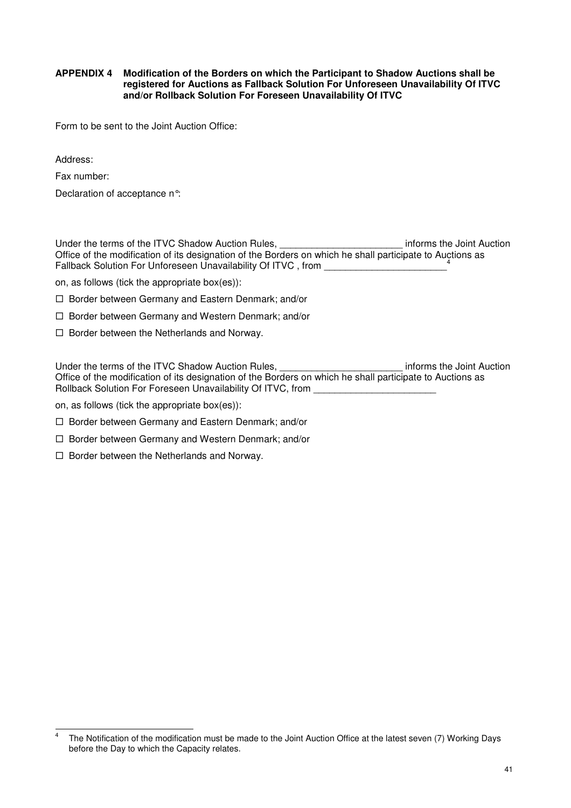#### **APPENDIX 4 Modification of the Borders on which the Participant to Shadow Auctions shall be registered for Auctions as Fallback Solution For Unforeseen Unavailability Of ITVC and/or Rollback Solution For Foreseen Unavailability Of ITVC**

Form to be sent to the Joint Auction Office:

Address:

Fax number:

Declaration of acceptance n°:

Under the terms of the ITVC Shadow Auction Rules, \_\_\_\_\_\_\_\_\_\_\_\_\_\_\_\_\_\_\_\_\_\_\_\_\_\_\_\_\_ informs the Joint Auction Office of the modification of its designation of the Borders on which he shall participate to Auctions as Fallback Solution For Unforeseen Unavailability Of ITVC, from

on, as follows (tick the appropriate box(es)):

- □ Border between Germany and Eastern Denmark; and/or
- □ Border between Germany and Western Denmark; and/or
- □ Border between the Netherlands and Norway.

Under the terms of the ITVC Shadow Auction Rules, the manufacture of the Solid Auction Unit Auction Office of the modification of its designation of the Borders on which he shall participate to Auctions as Rollback Solution For Foreseen Unavailability Of ITVC, from

on, as follows (tick the appropriate box(es)):

- □ Border between Germany and Eastern Denmark; and/or
- □ Border between Germany and Western Denmark; and/or
- □ Border between the Netherlands and Norway.

 $\frac{1}{4}$  The Notification of the modification must be made to the Joint Auction Office at the latest seven (7) Working Days before the Day to which the Capacity relates.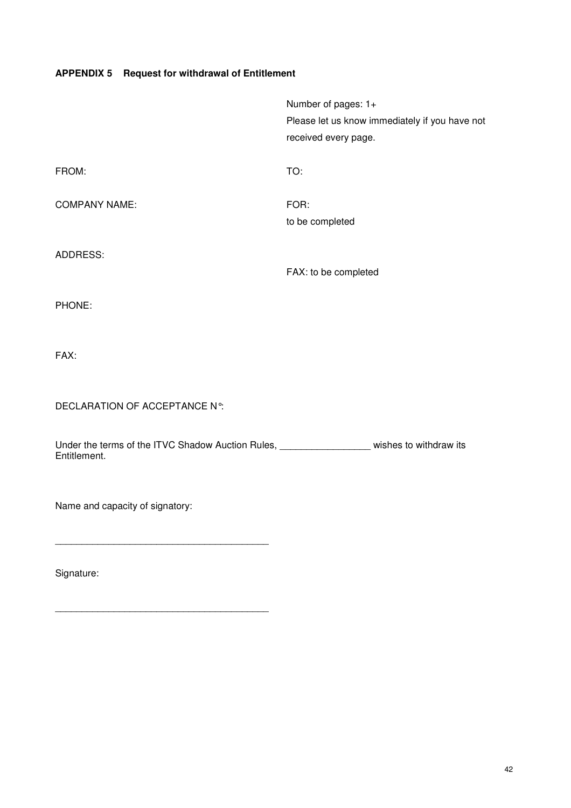# **APPENDIX 5 Request for withdrawal of Entitlement**

|                      | Number of pages: 1+                            |
|----------------------|------------------------------------------------|
|                      | Please let us know immediately if you have not |
|                      | received every page.                           |
| FROM:                | TO:                                            |
| <b>COMPANY NAME:</b> | FOR:                                           |
|                      | to be completed                                |
| ADDRESS:             |                                                |
|                      | FAX: to be completed                           |
| PHONE:               |                                                |
| FAX:                 |                                                |

DECLARATION OF ACCEPTANCE N°:

Under the terms of the ITVC Shadow Auction Rules, \_\_\_\_\_\_\_\_\_\_\_\_\_\_\_\_\_\_\_\_\_wishes to withdraw its Entitlement.

Name and capacity of signatory:

\_\_\_\_\_\_\_\_\_\_\_\_\_\_\_\_\_\_\_\_\_\_\_\_\_\_\_\_\_\_\_\_\_\_\_\_\_\_\_\_

Signature: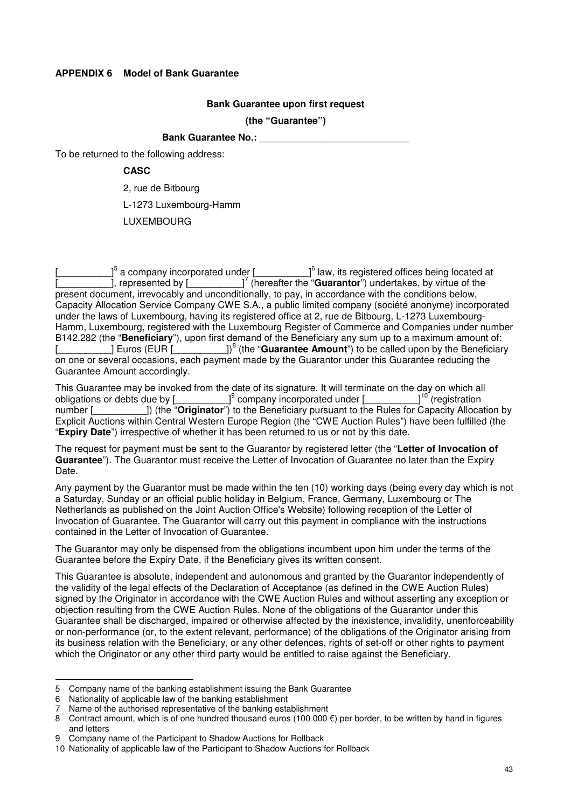#### **APPENDIX 6 Model of Bank Guarantee**

#### **Bank Guarantee upon first request**

**(the "Guarantee")** 

# **Bank Guarantee No.:**

To be returned to the following address:

### **CASC**

2, rue de Bitbourg

L-1273 Luxembourg-Hamm

LUXEMBOURG

 $\left[\begin{array}{ccc} 0 & 0 \end{array}\right]^{5}$  a company incorporated under  $\left[\begin{array}{ccc} 0 & 0 \end{array}\right]^{6}$  $\Box^6$  law, its registered offices being located at **Example 2**, represented by  $\begin{bmatrix} 1 & 0 \\ 0 & 1 \end{bmatrix}^7$  (hereafter the "**Guarantor**") undertakes, by virtue of the present document, irrevocably and unconditionally, to pay, in accordance with the conditions below, Capacity Allocation Service Company CWE S.A., a public limited company (société anonyme) incorporated under the laws of Luxembourg, having its registered office at 2, rue de Bitbourg, L-1273 Luxembourg-Hamm, Luxembourg, registered with the Luxembourg Register of Commerce and Companies under number B142.282 (the "**Beneficiary**"), upon first demand of the Beneficiary any sum up to a maximum amount of: [\_\_\_\_\_\_\_\_\_\_] Euros (EUR [\_\_\_\_\_\_\_\_\_\_])<sup>8</sup> (the "**Guarantee Amount**") to be called upon by the Beneficiary on one or several occasions, each payment made by the Guarantor under this Guarantee reducing the Guarantee Amount accordingly.

This Guarantee may be invoked from the date of its signature. It will terminate on the day on which all obligations or debts due by  $\int^9$  company incorporated under  $\int^{10}$  (registration obligations or debts due by  $\lfloor$ number  $\lceil$  (the "O  $l^9$  company incorporated under [ 1) (the "**Originator**") to the Beneficiary pursuant to the Rules for Capacity Allocation by Explicit Auctions within Central Western Europe Region (the "CWE Auction Rules") have been fulfilled (the "**Expiry Date**") irrespective of whether it has been returned to us or not by this date.

The request for payment must be sent to the Guarantor by registered letter (the "**Letter of Invocation of Guarantee**"). The Guarantor must receive the Letter of Invocation of Guarantee no later than the Expiry Date.

Any payment by the Guarantor must be made within the ten (10) working days (being every day which is not a Saturday, Sunday or an official public holiday in Belgium, France, Germany, Luxembourg or The Netherlands as published on the Joint Auction Office's Website) following reception of the Letter of Invocation of Guarantee. The Guarantor will carry out this payment in compliance with the instructions contained in the Letter of Invocation of Guarantee.

The Guarantor may only be dispensed from the obligations incumbent upon him under the terms of the Guarantee before the Expiry Date, if the Beneficiary gives its written consent.

This Guarantee is absolute, independent and autonomous and granted by the Guarantor independently of the validity of the legal effects of the Declaration of Acceptance (as defined in the CWE Auction Rules) signed by the Originator in accordance with the CWE Auction Rules and without asserting any exception or objection resulting from the CWE Auction Rules. None of the obligations of the Guarantor under this Guarantee shall be discharged, impaired or otherwise affected by the inexistence, invalidity, unenforceability or non-performance (or, to the extent relevant, performance) of the obligations of the Originator arising from its business relation with the Beneficiary, or any other defences, rights of set-off or other rights to payment which the Originator or any other third party would be entitled to raise against the Beneficiary.

<sup>-</sup>5 Company name of the banking establishment issuing the Bank Guarantee

<sup>6</sup> Nationality of applicable law of the banking establishment

<sup>7</sup> Name of the authorised representative of the banking establishment

<sup>8</sup> Contract amount, which is of one hundred thousand euros (100 000  $\epsilon$ ) per border, to be written by hand in figures and letters

<sup>9</sup> Company name of the Participant to Shadow Auctions for Rollback

<sup>10</sup> Nationality of applicable law of the Participant to Shadow Auctions for Rollback